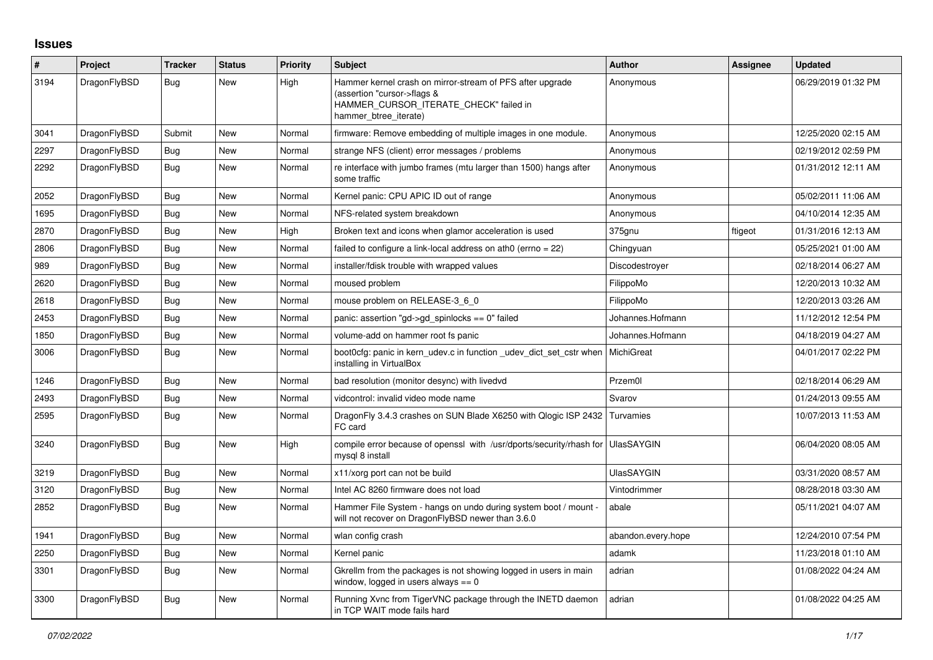## **Issues**

| $\#$ | Project      | <b>Tracker</b> | <b>Status</b> | <b>Priority</b> | <b>Subject</b>                                                                                                                                              | <b>Author</b>      | Assignee | <b>Updated</b>      |
|------|--------------|----------------|---------------|-----------------|-------------------------------------------------------------------------------------------------------------------------------------------------------------|--------------------|----------|---------------------|
| 3194 | DragonFlyBSD | <b>Bug</b>     | New           | High            | Hammer kernel crash on mirror-stream of PFS after upgrade<br>(assertion "cursor->flags &<br>HAMMER_CURSOR_ITERATE_CHECK" failed in<br>hammer_btree_iterate) | Anonymous          |          | 06/29/2019 01:32 PM |
| 3041 | DragonFlyBSD | Submit         | New           | Normal          | firmware: Remove embedding of multiple images in one module.                                                                                                | Anonymous          |          | 12/25/2020 02:15 AM |
| 2297 | DragonFlyBSD | <b>Bug</b>     | New           | Normal          | strange NFS (client) error messages / problems                                                                                                              | Anonymous          |          | 02/19/2012 02:59 PM |
| 2292 | DragonFlyBSD | Bug            | New           | Normal          | re interface with jumbo frames (mtu larger than 1500) hangs after<br>some traffic                                                                           | Anonymous          |          | 01/31/2012 12:11 AM |
| 2052 | DragonFlyBSD | Bug            | New           | Normal          | Kernel panic: CPU APIC ID out of range                                                                                                                      | Anonymous          |          | 05/02/2011 11:06 AM |
| 1695 | DragonFlyBSD | <b>Bug</b>     | New           | Normal          | NFS-related system breakdown                                                                                                                                | Anonymous          |          | 04/10/2014 12:35 AM |
| 2870 | DragonFlyBSD | <b>Bug</b>     | New           | High            | Broken text and icons when glamor acceleration is used                                                                                                      | 375gnu             | ftigeot  | 01/31/2016 12:13 AM |
| 2806 | DragonFlyBSD | Bug            | New           | Normal          | failed to configure a link-local address on ath0 (errno = 22)                                                                                               | Chingyuan          |          | 05/25/2021 01:00 AM |
| 989  | DragonFlyBSD | Bug            | New           | Normal          | installer/fdisk trouble with wrapped values                                                                                                                 | Discodestroyer     |          | 02/18/2014 06:27 AM |
| 2620 | DragonFlyBSD | Bug            | New           | Normal          | moused problem                                                                                                                                              | FilippoMo          |          | 12/20/2013 10:32 AM |
| 2618 | DragonFlyBSD | <b>Bug</b>     | <b>New</b>    | Normal          | mouse problem on RELEASE-3_6_0                                                                                                                              | FilippoMo          |          | 12/20/2013 03:26 AM |
| 2453 | DragonFlyBSD | Bug            | New           | Normal          | panic: assertion "gd->gd spinlocks == $0$ " failed                                                                                                          | Johannes.Hofmann   |          | 11/12/2012 12:54 PM |
| 1850 | DragonFlyBSD | Bug            | New           | Normal          | volume-add on hammer root fs panic                                                                                                                          | Johannes.Hofmann   |          | 04/18/2019 04:27 AM |
| 3006 | DragonFlyBSD | Bug            | <b>New</b>    | Normal          | boot0cfg: panic in kern udev.c in function udev dict set cstr when<br>installing in VirtualBox                                                              | MichiGreat         |          | 04/01/2017 02:22 PM |
| 1246 | DragonFlyBSD | Bug            | New           | Normal          | bad resolution (monitor desync) with livedvd                                                                                                                | Przem0l            |          | 02/18/2014 06:29 AM |
| 2493 | DragonFlyBSD | Bug            | New           | Normal          | vidcontrol: invalid video mode name                                                                                                                         | Svarov             |          | 01/24/2013 09:55 AM |
| 2595 | DragonFlyBSD | Bug            | New           | Normal          | DragonFly 3.4.3 crashes on SUN Blade X6250 with Qlogic ISP 2432 Turvamies<br>FC card                                                                        |                    |          | 10/07/2013 11:53 AM |
| 3240 | DragonFlyBSD | Bug            | New           | High            | compile error because of openssl with /usr/dports/security/rhash for UlasSAYGIN<br>mysql 8 install                                                          |                    |          | 06/04/2020 08:05 AM |
| 3219 | DragonFlyBSD | Bug            | <b>New</b>    | Normal          | x11/xorg port can not be build                                                                                                                              | <b>UlasSAYGIN</b>  |          | 03/31/2020 08:57 AM |
| 3120 | DragonFlyBSD | Bug            | New           | Normal          | Intel AC 8260 firmware does not load                                                                                                                        | Vintodrimmer       |          | 08/28/2018 03:30 AM |
| 2852 | DragonFlyBSD | Bug            | New           | Normal          | Hammer File System - hangs on undo during system boot / mount -<br>will not recover on DragonFlyBSD newer than 3.6.0                                        | abale              |          | 05/11/2021 04:07 AM |
| 1941 | DragonFlyBSD | Bug            | New           | Normal          | wlan config crash                                                                                                                                           | abandon.every.hope |          | 12/24/2010 07:54 PM |
| 2250 | DragonFlyBSD | <b>Bug</b>     | New           | Normal          | Kernel panic                                                                                                                                                | adamk              |          | 11/23/2018 01:10 AM |
| 3301 | DragonFlyBSD | Bug            | New           | Normal          | Gkrellm from the packages is not showing logged in users in main<br>window, logged in users always $== 0$                                                   | adrian             |          | 01/08/2022 04:24 AM |
| 3300 | DragonFlyBSD | Bug            | <b>New</b>    | Normal          | Running Xvnc from TigerVNC package through the INETD daemon<br>in TCP WAIT mode fails hard                                                                  | adrian             |          | 01/08/2022 04:25 AM |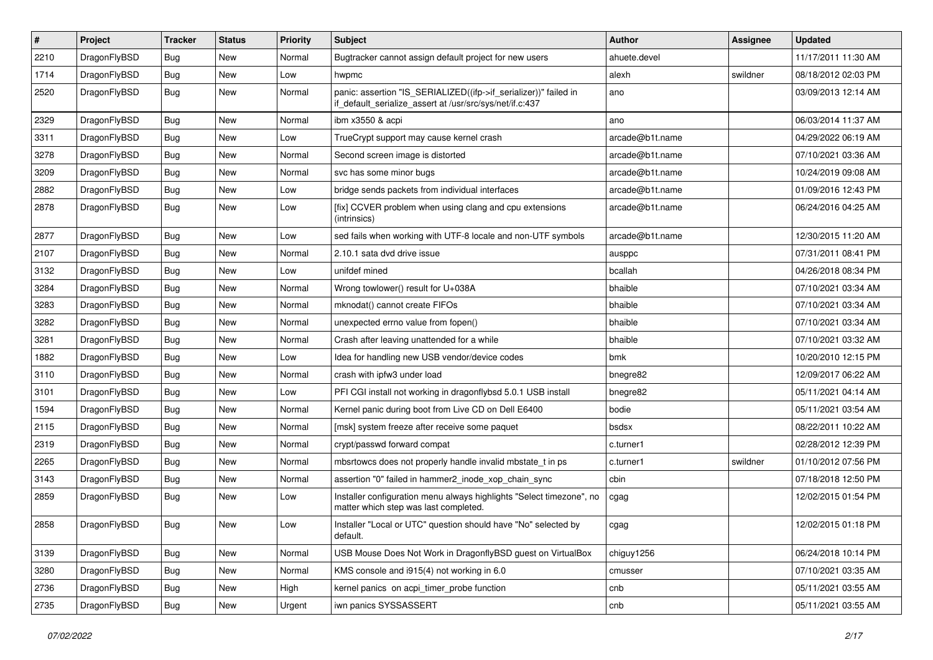| $\sharp$ | Project      | <b>Tracker</b> | <b>Status</b> | <b>Priority</b> | Subject                                                                                                                      | Author          | Assignee | <b>Updated</b>      |
|----------|--------------|----------------|---------------|-----------------|------------------------------------------------------------------------------------------------------------------------------|-----------------|----------|---------------------|
| 2210     | DragonFlyBSD | <b>Bug</b>     | New           | Normal          | Bugtracker cannot assign default project for new users                                                                       | ahuete.devel    |          | 11/17/2011 11:30 AM |
| 1714     | DragonFlyBSD | Bug            | New           | Low             | hwpmc                                                                                                                        | alexh           | swildner | 08/18/2012 02:03 PM |
| 2520     | DragonFlyBSD | <b>Bug</b>     | New           | Normal          | panic: assertion "IS_SERIALIZED((ifp->if_serializer))" failed in<br>if default serialize assert at /usr/src/sys/net/if.c:437 | ano             |          | 03/09/2013 12:14 AM |
| 2329     | DragonFlyBSD | Bug            | <b>New</b>    | Normal          | ibm x3550 & acpi                                                                                                             | ano             |          | 06/03/2014 11:37 AM |
| 3311     | DragonFlyBSD | <b>Bug</b>     | New           | Low             | TrueCrypt support may cause kernel crash                                                                                     | arcade@b1t.name |          | 04/29/2022 06:19 AM |
| 3278     | DragonFlyBSD | <b>Bug</b>     | New           | Normal          | Second screen image is distorted                                                                                             | arcade@b1t.name |          | 07/10/2021 03:36 AM |
| 3209     | DragonFlyBSD | <b>Bug</b>     | New           | Normal          | svc has some minor bugs                                                                                                      | arcade@b1t.name |          | 10/24/2019 09:08 AM |
| 2882     | DragonFlyBSD | <b>Bug</b>     | New           | Low             | bridge sends packets from individual interfaces                                                                              | arcade@b1t.name |          | 01/09/2016 12:43 PM |
| 2878     | DragonFlyBSD | Bug            | <b>New</b>    | Low             | [fix] CCVER problem when using clang and cpu extensions<br>(intrinsics)                                                      | arcade@b1t.name |          | 06/24/2016 04:25 AM |
| 2877     | DragonFlyBSD | Bug            | <b>New</b>    | Low             | sed fails when working with UTF-8 locale and non-UTF symbols                                                                 | arcade@b1t.name |          | 12/30/2015 11:20 AM |
| 2107     | DragonFlyBSD | <b>Bug</b>     | New           | Normal          | 2.10.1 sata dvd drive issue                                                                                                  | ausppc          |          | 07/31/2011 08:41 PM |
| 3132     | DragonFlyBSD | <b>Bug</b>     | New           | Low             | unifdef mined                                                                                                                | bcallah         |          | 04/26/2018 08:34 PM |
| 3284     | DragonFlyBSD | <b>Bug</b>     | New           | Normal          | Wrong towlower() result for U+038A                                                                                           | bhaible         |          | 07/10/2021 03:34 AM |
| 3283     | DragonFlyBSD | <b>Bug</b>     | New           | Normal          | mknodat() cannot create FIFOs                                                                                                | bhaible         |          | 07/10/2021 03:34 AM |
| 3282     | DragonFlyBSD | <b>Bug</b>     | New           | Normal          | unexpected errno value from fopen()                                                                                          | bhaible         |          | 07/10/2021 03:34 AM |
| 3281     | DragonFlyBSD | Bug            | <b>New</b>    | Normal          | Crash after leaving unattended for a while                                                                                   | bhaible         |          | 07/10/2021 03:32 AM |
| 1882     | DragonFlyBSD | <b>Bug</b>     | New           | Low             | Idea for handling new USB vendor/device codes                                                                                | bmk             |          | 10/20/2010 12:15 PM |
| 3110     | DragonFlyBSD | <b>Bug</b>     | New           | Normal          | crash with ipfw3 under load                                                                                                  | bnegre82        |          | 12/09/2017 06:22 AM |
| 3101     | DragonFlyBSD | <b>Bug</b>     | New           | Low             | PFI CGI install not working in dragonflybsd 5.0.1 USB install                                                                | bnegre82        |          | 05/11/2021 04:14 AM |
| 1594     | DragonFlyBSD | <b>Bug</b>     | New           | Normal          | Kernel panic during boot from Live CD on Dell E6400                                                                          | bodie           |          | 05/11/2021 03:54 AM |
| 2115     | DragonFlyBSD | Bug            | New           | Normal          | [msk] system freeze after receive some paquet                                                                                | bsdsx           |          | 08/22/2011 10:22 AM |
| 2319     | DragonFlyBSD | <b>Bug</b>     | New           | Normal          | crypt/passwd forward compat                                                                                                  | c.turner1       |          | 02/28/2012 12:39 PM |
| 2265     | DragonFlyBSD | <b>Bug</b>     | <b>New</b>    | Normal          | mbsrtowcs does not properly handle invalid mbstate_t in ps                                                                   | c.turner1       | swildner | 01/10/2012 07:56 PM |
| 3143     | DragonFlyBSD | <b>Bug</b>     | New           | Normal          | assertion "0" failed in hammer2 inode xop chain sync                                                                         | cbin            |          | 07/18/2018 12:50 PM |
| 2859     | DragonFlyBSD | <b>Bug</b>     | <b>New</b>    | Low             | Installer configuration menu always highlights "Select timezone", no<br>matter which step was last completed.                | cgag            |          | 12/02/2015 01:54 PM |
| 2858     | DragonFlyBSD | <b>Bug</b>     | <b>New</b>    | Low             | Installer "Local or UTC" question should have "No" selected by<br>default.                                                   | cgag            |          | 12/02/2015 01:18 PM |
| 3139     | DragonFlyBSD | <b>Bug</b>     | New           | Normal          | USB Mouse Does Not Work in DragonflyBSD guest on VirtualBox                                                                  | chiguy1256      |          | 06/24/2018 10:14 PM |
| 3280     | DragonFlyBSD | <b>Bug</b>     | New           | Normal          | KMS console and i915(4) not working in 6.0                                                                                   | cmusser         |          | 07/10/2021 03:35 AM |
| 2736     | DragonFlyBSD | <b>Bug</b>     | New           | High            | kernel panics on acpi timer probe function                                                                                   | cnb             |          | 05/11/2021 03:55 AM |
| 2735     | DragonFlyBSD | <b>Bug</b>     | New           | Urgent          | iwn panics SYSSASSERT                                                                                                        | cnb             |          | 05/11/2021 03:55 AM |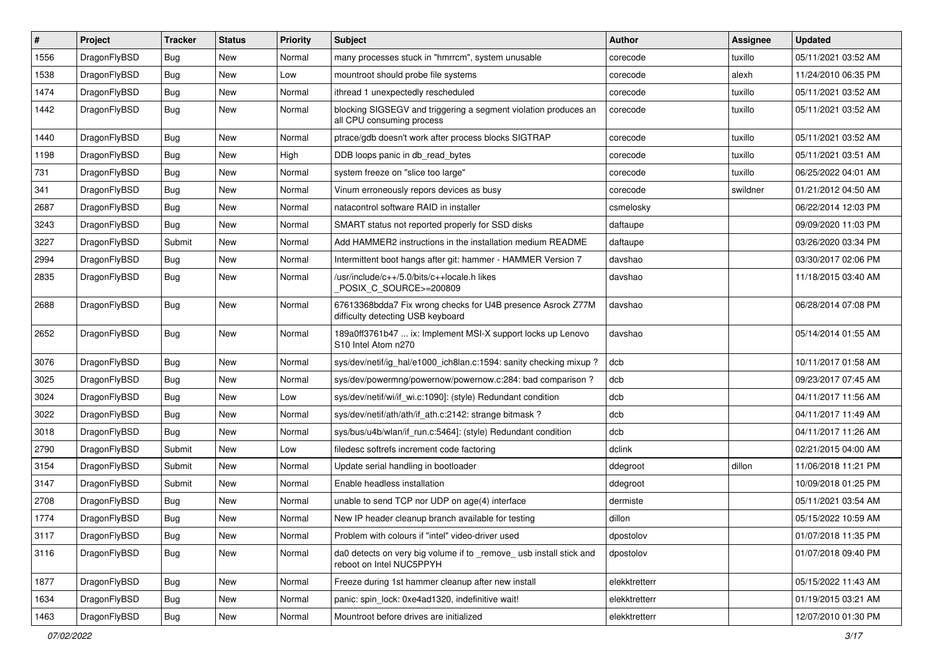| #    | Project      | <b>Tracker</b> | <b>Status</b> | <b>Priority</b> | <b>Subject</b>                                                                                   | Author        | Assignee | <b>Updated</b>      |
|------|--------------|----------------|---------------|-----------------|--------------------------------------------------------------------------------------------------|---------------|----------|---------------------|
| 1556 | DragonFlyBSD | <b>Bug</b>     | <b>New</b>    | Normal          | many processes stuck in "hmrrcm", system unusable                                                | corecode      | tuxillo  | 05/11/2021 03:52 AM |
| 1538 | DragonFlyBSD | Bug            | <b>New</b>    | Low             | mountroot should probe file systems                                                              | corecode      | alexh    | 11/24/2010 06:35 PM |
| 1474 | DragonFlyBSD | <b>Bug</b>     | New           | Normal          | ithread 1 unexpectedly rescheduled                                                               | corecode      | tuxillo  | 05/11/2021 03:52 AM |
| 1442 | DragonFlyBSD | Bug            | New           | Normal          | blocking SIGSEGV and triggering a segment violation produces an<br>all CPU consuming process     | corecode      | tuxillo  | 05/11/2021 03:52 AM |
| 1440 | DragonFlyBSD | Bug            | New           | Normal          | ptrace/gdb doesn't work after process blocks SIGTRAP                                             | corecode      | tuxillo  | 05/11/2021 03:52 AM |
| 1198 | DragonFlyBSD | Bug            | <b>New</b>    | High            | DDB loops panic in db read bytes                                                                 | corecode      | tuxillo  | 05/11/2021 03:51 AM |
| 731  | DragonFlyBSD | <b>Bug</b>     | New           | Normal          | system freeze on "slice too large"                                                               | corecode      | tuxillo  | 06/25/2022 04:01 AM |
| 341  | DragonFlyBSD | <b>Bug</b>     | <b>New</b>    | Normal          | Vinum erroneously repors devices as busy                                                         | corecode      | swildner | 01/21/2012 04:50 AM |
| 2687 | DragonFlyBSD | <b>Bug</b>     | <b>New</b>    | Normal          | natacontrol software RAID in installer                                                           | csmelosky     |          | 06/22/2014 12:03 PM |
| 3243 | DragonFlyBSD | Bug            | <b>New</b>    | Normal          | SMART status not reported properly for SSD disks                                                 | daftaupe      |          | 09/09/2020 11:03 PM |
| 3227 | DragonFlyBSD | Submit         | New           | Normal          | Add HAMMER2 instructions in the installation medium README                                       | daftaupe      |          | 03/26/2020 03:34 PM |
| 2994 | DragonFlyBSD | <b>Bug</b>     | New           | Normal          | Intermittent boot hangs after git: hammer - HAMMER Version 7                                     | davshao       |          | 03/30/2017 02:06 PM |
| 2835 | DragonFlyBSD | Bug            | New           | Normal          | /usr/include/c++/5.0/bits/c++locale.h likes<br>POSIX C_SOURCE>=200809                            | davshao       |          | 11/18/2015 03:40 AM |
| 2688 | DragonFlyBSD | <b>Bug</b>     | New           | Normal          | 67613368bdda7 Fix wrong checks for U4B presence Asrock Z77M<br>difficulty detecting USB keyboard | davshao       |          | 06/28/2014 07:08 PM |
| 2652 | DragonFlyBSD | Bug            | New           | Normal          | 189a0ff3761b47  ix: Implement MSI-X support locks up Lenovo<br>S10 Intel Atom n270               | davshao       |          | 05/14/2014 01:55 AM |
| 3076 | DragonFlyBSD | Bug            | <b>New</b>    | Normal          | sys/dev/netif/ig_hal/e1000_ich8lan.c:1594: sanity checking mixup?                                | dcb           |          | 10/11/2017 01:58 AM |
| 3025 | DragonFlyBSD | Bug            | <b>New</b>    | Normal          | sys/dev/powermng/powernow/powernow.c:284: bad comparison?                                        | dcb           |          | 09/23/2017 07:45 AM |
| 3024 | DragonFlyBSD | <b>Bug</b>     | New           | Low             | sys/dev/netif/wi/if wi.c:1090]: (style) Redundant condition                                      | dcb           |          | 04/11/2017 11:56 AM |
| 3022 | DragonFlyBSD | Bug            | <b>New</b>    | Normal          | sys/dev/netif/ath/ath/if ath.c:2142: strange bitmask?                                            | dcb           |          | 04/11/2017 11:49 AM |
| 3018 | DragonFlyBSD | <b>Bug</b>     | New           | Normal          | sys/bus/u4b/wlan/if run.c:5464]: (style) Redundant condition                                     | dcb           |          | 04/11/2017 11:26 AM |
| 2790 | DragonFlyBSD | Submit         | New           | Low             | filedesc softrefs increment code factoring                                                       | dclink        |          | 02/21/2015 04:00 AM |
| 3154 | DragonFlyBSD | Submit         | <b>New</b>    | Normal          | Update serial handling in bootloader                                                             | ddegroot      | dillon   | 11/06/2018 11:21 PM |
| 3147 | DragonFlyBSD | Submit         | New           | Normal          | Enable headless installation                                                                     | ddegroot      |          | 10/09/2018 01:25 PM |
| 2708 | DragonFlyBSD | Bug            | <b>New</b>    | Normal          | unable to send TCP nor UDP on age(4) interface                                                   | dermiste      |          | 05/11/2021 03:54 AM |
| 1774 | DragonFlyBSD | <b>Bug</b>     | New           | Normal          | New IP header cleanup branch available for testing                                               | dillon        |          | 05/15/2022 10:59 AM |
| 3117 | DragonFlyBSD | <b>Bug</b>     | New           | Normal          | Problem with colours if "intel" video-driver used                                                | dpostolov     |          | 01/07/2018 11:35 PM |
| 3116 | DragonFlyBSD | Bug            | New           | Normal          | da0 detects on very big volume if to _remove_ usb install stick and<br>reboot on Intel NUC5PPYH  | dpostolov     |          | 01/07/2018 09:40 PM |
| 1877 | DragonFlyBSD | Bug            | New           | Normal          | Freeze during 1st hammer cleanup after new install                                               | elekktretterr |          | 05/15/2022 11:43 AM |
| 1634 | DragonFlyBSD | Bug            | New           | Normal          | panic: spin_lock: 0xe4ad1320, indefinitive wait!                                                 | elekktretterr |          | 01/19/2015 03:21 AM |
| 1463 | DragonFlyBSD | Bug            | New           | Normal          | Mountroot before drives are initialized                                                          | elekktretterr |          | 12/07/2010 01:30 PM |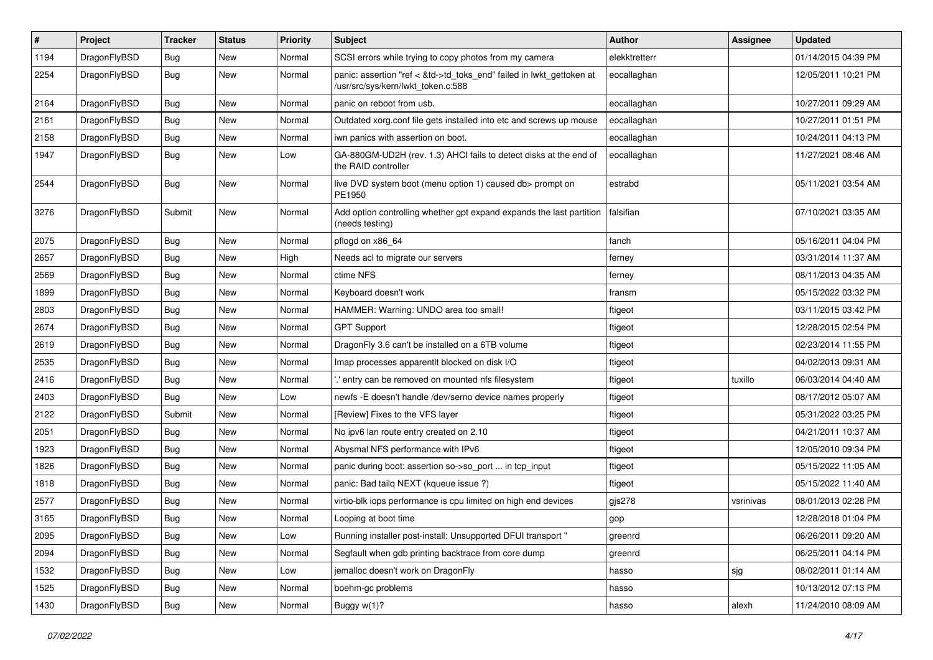| $\sharp$ | Project      | <b>Tracker</b> | <b>Status</b> | <b>Priority</b> | Subject                                                                                                    | Author        | Assignee  | <b>Updated</b>      |
|----------|--------------|----------------|---------------|-----------------|------------------------------------------------------------------------------------------------------------|---------------|-----------|---------------------|
| 1194     | DragonFlyBSD | <b>Bug</b>     | New           | Normal          | SCSI errors while trying to copy photos from my camera                                                     | elekktretterr |           | 01/14/2015 04:39 PM |
| 2254     | DragonFlyBSD | Bug            | New           | Normal          | panic: assertion "ref < &td->td_toks_end" failed in lwkt_gettoken at<br>/usr/src/sys/kern/lwkt_token.c:588 | eocallaghan   |           | 12/05/2011 10:21 PM |
| 2164     | DragonFlyBSD | Bug            | <b>New</b>    | Normal          | panic on reboot from usb.                                                                                  | eocallaghan   |           | 10/27/2011 09:29 AM |
| 2161     | DragonFlyBSD | Bug            | <b>New</b>    | Normal          | Outdated xorg.conf file gets installed into etc and screws up mouse                                        | eocallaghan   |           | 10/27/2011 01:51 PM |
| 2158     | DragonFlyBSD | <b>Bug</b>     | New           | Normal          | iwn panics with assertion on boot.                                                                         | eocallaghan   |           | 10/24/2011 04:13 PM |
| 1947     | DragonFlyBSD | <b>Bug</b>     | New           | Low             | GA-880GM-UD2H (rev. 1.3) AHCI fails to detect disks at the end of<br>the RAID controller                   | eocallaghan   |           | 11/27/2021 08:46 AM |
| 2544     | DragonFlyBSD | Bug            | New           | Normal          | live DVD system boot (menu option 1) caused db> prompt on<br>PE1950                                        | estrabd       |           | 05/11/2021 03:54 AM |
| 3276     | DragonFlyBSD | Submit         | <b>New</b>    | Normal          | Add option controlling whether gpt expand expands the last partition<br>(needs testing)                    | falsifian     |           | 07/10/2021 03:35 AM |
| 2075     | DragonFlyBSD | Bug            | New           | Normal          | pflogd on x86_64                                                                                           | fanch         |           | 05/16/2011 04:04 PM |
| 2657     | DragonFlyBSD | <b>Bug</b>     | New           | High            | Needs acl to migrate our servers                                                                           | ferney        |           | 03/31/2014 11:37 AM |
| 2569     | DragonFlyBSD | Bug            | New           | Normal          | ctime NFS                                                                                                  | ferney        |           | 08/11/2013 04:35 AM |
| 1899     | DragonFlyBSD | <b>Bug</b>     | New           | Normal          | Keyboard doesn't work                                                                                      | fransm        |           | 05/15/2022 03:32 PM |
| 2803     | DragonFlyBSD | Bug            | <b>New</b>    | Normal          | HAMMER: Warning: UNDO area too small!                                                                      | ftigeot       |           | 03/11/2015 03:42 PM |
| 2674     | DragonFlyBSD | Bug            | New           | Normal          | <b>GPT Support</b>                                                                                         | ftigeot       |           | 12/28/2015 02:54 PM |
| 2619     | DragonFlyBSD | Bug            | <b>New</b>    | Normal          | DragonFly 3.6 can't be installed on a 6TB volume                                                           | ftigeot       |           | 02/23/2014 11:55 PM |
| 2535     | DragonFlyBSD | Bug            | New           | Normal          | Imap processes apparentlt blocked on disk I/O                                                              | ftigeot       |           | 04/02/2013 09:31 AM |
| 2416     | DragonFlyBSD | Bug            | <b>New</b>    | Normal          | ".' entry can be removed on mounted nfs filesystem                                                         | ftigeot       | tuxillo   | 06/03/2014 04:40 AM |
| 2403     | DragonFlyBSD | Bug            | <b>New</b>    | Low             | newfs - E doesn't handle /dev/serno device names properly                                                  | ftigeot       |           | 08/17/2012 05:07 AM |
| 2122     | DragonFlyBSD | Submit         | New           | Normal          | [Review] Fixes to the VFS layer                                                                            | ftigeot       |           | 05/31/2022 03:25 PM |
| 2051     | DragonFlyBSD | Bug            | New           | Normal          | No ipv6 lan route entry created on 2.10                                                                    | ftigeot       |           | 04/21/2011 10:37 AM |
| 1923     | DragonFlyBSD | Bug            | New           | Normal          | Abysmal NFS performance with IPv6                                                                          | ftigeot       |           | 12/05/2010 09:34 PM |
| 1826     | DragonFlyBSD | Bug            | <b>New</b>    | Normal          | panic during boot: assertion so->so_port  in tcp_input                                                     | ftigeot       |           | 05/15/2022 11:05 AM |
| 1818     | DragonFlyBSD | Bug            | New           | Normal          | panic: Bad tailq NEXT (kqueue issue ?)                                                                     | ftigeot       |           | 05/15/2022 11:40 AM |
| 2577     | DragonFlyBSD | Bug            | <b>New</b>    | Normal          | virtio-blk iops performance is cpu limited on high end devices                                             | gjs278        | vsrinivas | 08/01/2013 02:28 PM |
| 3165     | DragonFlyBSD | Bug            | New           | Normal          | Looping at boot time                                                                                       | gop           |           | 12/28/2018 01:04 PM |
| 2095     | DragonFlyBSD | <b>Bug</b>     | New           | Low             | Running installer post-install: Unsupported DFUI transport "                                               | greenrd       |           | 06/26/2011 09:20 AM |
| 2094     | DragonFlyBSD | <b>Bug</b>     | <b>New</b>    | Normal          | Segfault when gdb printing backtrace from core dump                                                        | greenrd       |           | 06/25/2011 04:14 PM |
| 1532     | DragonFlyBSD | <b>Bug</b>     | New           | Low             | jemalloc doesn't work on DragonFly                                                                         | hasso         | sjg       | 08/02/2011 01:14 AM |
| 1525     | DragonFlyBSD | <b>Bug</b>     | New           | Normal          | boehm-gc problems                                                                                          | hasso         |           | 10/13/2012 07:13 PM |
| 1430     | DragonFlyBSD | <b>Bug</b>     | New           | Normal          | Buggy w(1)?                                                                                                | hasso         | alexh     | 11/24/2010 08:09 AM |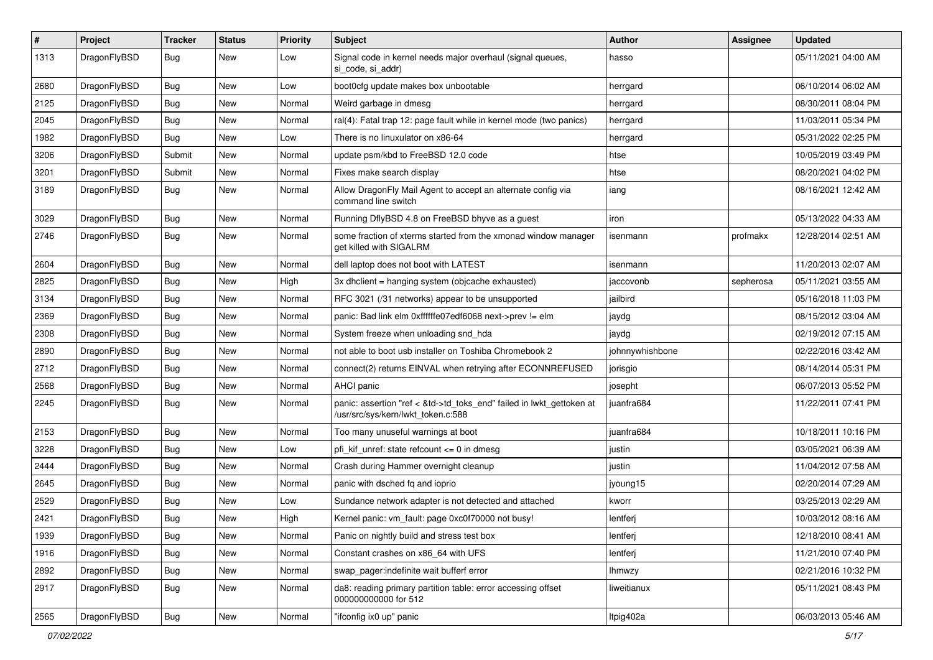| $\sharp$ | Project      | <b>Tracker</b> | <b>Status</b> | <b>Priority</b> | Subject                                                                                                    | Author          | Assignee  | <b>Updated</b>      |
|----------|--------------|----------------|---------------|-----------------|------------------------------------------------------------------------------------------------------------|-----------------|-----------|---------------------|
| 1313     | DragonFlyBSD | Bug            | New           | Low             | Signal code in kernel needs major overhaul (signal queues,<br>si code, si addr)                            | hasso           |           | 05/11/2021 04:00 AM |
| 2680     | DragonFlyBSD | Bug            | New           | Low             | boot0cfg update makes box unbootable                                                                       | herrgard        |           | 06/10/2014 06:02 AM |
| 2125     | DragonFlyBSD | <b>Bug</b>     | New           | Normal          | Weird garbage in dmesg                                                                                     | herrgard        |           | 08/30/2011 08:04 PM |
| 2045     | DragonFlyBSD | <b>Bug</b>     | New           | Normal          | ral(4): Fatal trap 12: page fault while in kernel mode (two panics)                                        | herrgard        |           | 11/03/2011 05:34 PM |
| 1982     | DragonFlyBSD | <b>Bug</b>     | New           | Low             | There is no linuxulator on x86-64                                                                          | herrgard        |           | 05/31/2022 02:25 PM |
| 3206     | DragonFlyBSD | Submit         | New           | Normal          | update psm/kbd to FreeBSD 12.0 code                                                                        | htse            |           | 10/05/2019 03:49 PM |
| 3201     | DragonFlyBSD | Submit         | New           | Normal          | Fixes make search display                                                                                  | htse            |           | 08/20/2021 04:02 PM |
| 3189     | DragonFlyBSD | Bug            | New           | Normal          | Allow DragonFly Mail Agent to accept an alternate config via<br>command line switch                        | iang            |           | 08/16/2021 12:42 AM |
| 3029     | DragonFlyBSD | Bug            | <b>New</b>    | Normal          | Running DflyBSD 4.8 on FreeBSD bhyve as a guest                                                            | iron            |           | 05/13/2022 04:33 AM |
| 2746     | DragonFlyBSD | <b>Bug</b>     | New           | Normal          | some fraction of xterms started from the xmonad window manager<br>get killed with SIGALRM                  | isenmann        | profmakx  | 12/28/2014 02:51 AM |
| 2604     | DragonFlyBSD | Bug            | New           | Normal          | dell laptop does not boot with LATEST                                                                      | isenmann        |           | 11/20/2013 02:07 AM |
| 2825     | DragonFlyBSD | <b>Bug</b>     | New           | High            | 3x dhclient = hanging system (objcache exhausted)                                                          | jaccovonb       | sepherosa | 05/11/2021 03:55 AM |
| 3134     | DragonFlyBSD | <b>Bug</b>     | <b>New</b>    | Normal          | RFC 3021 (/31 networks) appear to be unsupported                                                           | jailbird        |           | 05/16/2018 11:03 PM |
| 2369     | DragonFlyBSD | <b>Bug</b>     | New           | Normal          | panic: Bad link elm 0xffffffe07edf6068 next->prev != elm                                                   | jaydg           |           | 08/15/2012 03:04 AM |
| 2308     | DragonFlyBSD | Bug            | New           | Normal          | System freeze when unloading snd_hda                                                                       | jaydg           |           | 02/19/2012 07:15 AM |
| 2890     | DragonFlyBSD | <b>Bug</b>     | New           | Normal          | not able to boot usb installer on Toshiba Chromebook 2                                                     | johnnywhishbone |           | 02/22/2016 03:42 AM |
| 2712     | DragonFlyBSD | <b>Bug</b>     | New           | Normal          | connect(2) returns EINVAL when retrying after ECONNREFUSED                                                 | jorisgio        |           | 08/14/2014 05:31 PM |
| 2568     | DragonFlyBSD | <b>Bug</b>     | New           | Normal          | AHCI panic                                                                                                 | josepht         |           | 06/07/2013 05:52 PM |
| 2245     | DragonFlyBSD | <b>Bug</b>     | New           | Normal          | panic: assertion "ref < &td->td_toks_end" failed in lwkt_gettoken at<br>/usr/src/sys/kern/lwkt token.c:588 | juanfra684      |           | 11/22/2011 07:41 PM |
| 2153     | DragonFlyBSD | <b>Bug</b>     | New           | Normal          | Too many unuseful warnings at boot                                                                         | juanfra684      |           | 10/18/2011 10:16 PM |
| 3228     | DragonFlyBSD | <b>Bug</b>     | New           | Low             | pfi kif unref: state refcount $\leq$ 0 in dmesg                                                            | justin          |           | 03/05/2021 06:39 AM |
| 2444     | DragonFlyBSD | Bug            | New           | Normal          | Crash during Hammer overnight cleanup                                                                      | justin          |           | 11/04/2012 07:58 AM |
| 2645     | DragonFlyBSD | <b>Bug</b>     | New           | Normal          | panic with dsched fq and ioprio                                                                            | jyoung15        |           | 02/20/2014 07:29 AM |
| 2529     | DragonFlyBSD | <b>Bug</b>     | <b>New</b>    | Low             | Sundance network adapter is not detected and attached                                                      | kworr           |           | 03/25/2013 02:29 AM |
| 2421     | DragonFlyBSD | <b>Bug</b>     | New           | High            | Kernel panic: vm_fault: page 0xc0f70000 not busy!                                                          | lentferj        |           | 10/03/2012 08:16 AM |
| 1939     | DragonFlyBSD | <b>Bug</b>     | New           | Normal          | Panic on nightly build and stress test box                                                                 | lentferj        |           | 12/18/2010 08:41 AM |
| 1916     | DragonFlyBSD | <b>Bug</b>     | <b>New</b>    | Normal          | Constant crashes on x86_64 with UFS                                                                        | lentferj        |           | 11/21/2010 07:40 PM |
| 2892     | DragonFlyBSD | <b>Bug</b>     | New           | Normal          | swap_pager:indefinite wait bufferf error                                                                   | <b>Ihmwzy</b>   |           | 02/21/2016 10:32 PM |
| 2917     | DragonFlyBSD | <b>Bug</b>     | New           | Normal          | da8: reading primary partition table: error accessing offset<br>000000000000 for 512                       | liweitianux     |           | 05/11/2021 08:43 PM |
| 2565     | DragonFlyBSD | Bug            | New           | Normal          | "ifconfig ix0 up" panic                                                                                    | Itpig402a       |           | 06/03/2013 05:46 AM |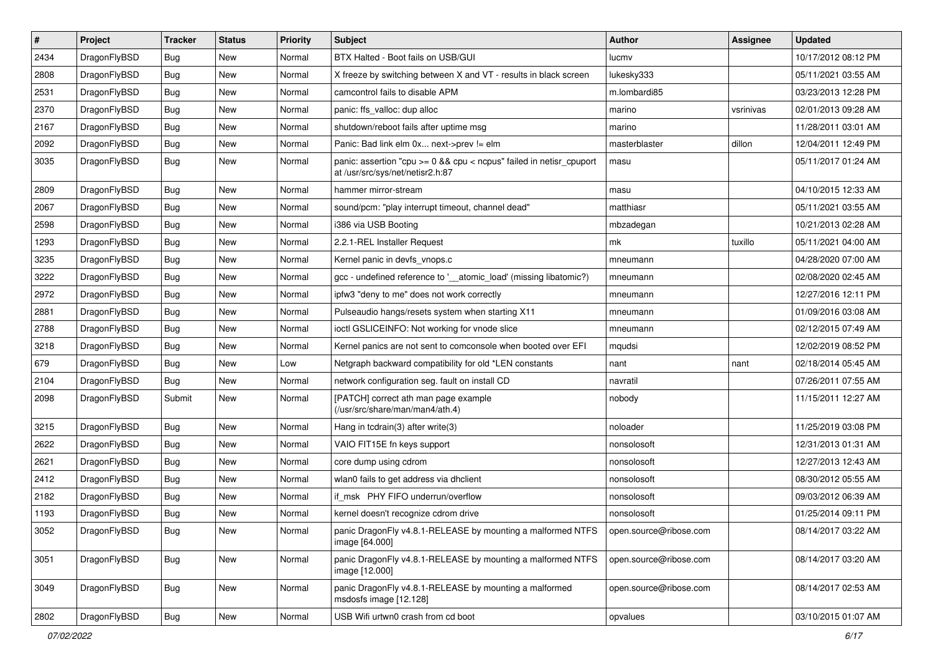| $\pmb{\#}$ | Project      | <b>Tracker</b> | <b>Status</b> | <b>Priority</b> | Subject                                                                                                 | <b>Author</b>          | Assignee  | <b>Updated</b>      |
|------------|--------------|----------------|---------------|-----------------|---------------------------------------------------------------------------------------------------------|------------------------|-----------|---------------------|
| 2434       | DragonFlyBSD | Bug            | <b>New</b>    | Normal          | BTX Halted - Boot fails on USB/GUI                                                                      | lucmv                  |           | 10/17/2012 08:12 PM |
| 2808       | DragonFlyBSD | Bug            | <b>New</b>    | Normal          | X freeze by switching between X and VT - results in black screen                                        | lukesky333             |           | 05/11/2021 03:55 AM |
| 2531       | DragonFlyBSD | Bug            | <b>New</b>    | Normal          | camcontrol fails to disable APM                                                                         | m.lombardi85           |           | 03/23/2013 12:28 PM |
| 2370       | DragonFlyBSD | Bug            | <b>New</b>    | Normal          | panic: ffs_valloc: dup alloc                                                                            | marino                 | vsrinivas | 02/01/2013 09:28 AM |
| 2167       | DragonFlyBSD | Bug            | <b>New</b>    | Normal          | shutdown/reboot fails after uptime msg                                                                  | marino                 |           | 11/28/2011 03:01 AM |
| 2092       | DragonFlyBSD | Bug            | New           | Normal          | Panic: Bad link elm 0x next->prev != elm                                                                | masterblaster          | dillon    | 12/04/2011 12:49 PM |
| 3035       | DragonFlyBSD | Bug            | <b>New</b>    | Normal          | panic: assertion "cpu >= 0 && cpu < ncpus" failed in netisr_cpuport<br>at /usr/src/sys/net/netisr2.h:87 | masu                   |           | 05/11/2017 01:24 AM |
| 2809       | DragonFlyBSD | Bug            | <b>New</b>    | Normal          | hammer mirror-stream                                                                                    | masu                   |           | 04/10/2015 12:33 AM |
| 2067       | DragonFlyBSD | Bug            | <b>New</b>    | Normal          | sound/pcm: "play interrupt timeout, channel dead"                                                       | matthiasr              |           | 05/11/2021 03:55 AM |
| 2598       | DragonFlyBSD | Bug            | <b>New</b>    | Normal          | i386 via USB Booting                                                                                    | mbzadegan              |           | 10/21/2013 02:28 AM |
| 1293       | DragonFlyBSD | Bug            | <b>New</b>    | Normal          | 2.2.1-REL Installer Request                                                                             | mk                     | tuxillo   | 05/11/2021 04:00 AM |
| 3235       | DragonFlyBSD | Bug            | <b>New</b>    | Normal          | Kernel panic in devfs vnops.c                                                                           | mneumann               |           | 04/28/2020 07:00 AM |
| 3222       | DragonFlyBSD | Bug            | <b>New</b>    | Normal          | gcc - undefined reference to '__atomic_load' (missing libatomic?)                                       | mneumann               |           | 02/08/2020 02:45 AM |
| 2972       | DragonFlyBSD | Bug            | <b>New</b>    | Normal          | ipfw3 "deny to me" does not work correctly                                                              | mneumann               |           | 12/27/2016 12:11 PM |
| 2881       | DragonFlyBSD | Bug            | New           | Normal          | Pulseaudio hangs/resets system when starting X11                                                        | mneumann               |           | 01/09/2016 03:08 AM |
| 2788       | DragonFlyBSD | Bug            | New           | Normal          | ioctl GSLICEINFO: Not working for vnode slice                                                           | mneumann               |           | 02/12/2015 07:49 AM |
| 3218       | DragonFlyBSD | Bug            | <b>New</b>    | Normal          | Kernel panics are not sent to comconsole when booted over EFI                                           | mqudsi                 |           | 12/02/2019 08:52 PM |
| 679        | DragonFlyBSD | Bug            | <b>New</b>    | Low             | Netgraph backward compatibility for old *LEN constants                                                  | nant                   | nant      | 02/18/2014 05:45 AM |
| 2104       | DragonFlyBSD | Bug            | <b>New</b>    | Normal          | network configuration seg. fault on install CD                                                          | navratil               |           | 07/26/2011 07:55 AM |
| 2098       | DragonFlyBSD | Submit         | New           | Normal          | [PATCH] correct ath man page example<br>(/usr/src/share/man/man4/ath.4)                                 | nobody                 |           | 11/15/2011 12:27 AM |
| 3215       | DragonFlyBSD | Bug            | <b>New</b>    | Normal          | Hang in tcdrain(3) after write(3)                                                                       | noloader               |           | 11/25/2019 03:08 PM |
| 2622       | DragonFlyBSD | Bug            | <b>New</b>    | Normal          | VAIO FIT15E fn keys support                                                                             | nonsolosoft            |           | 12/31/2013 01:31 AM |
| 2621       | DragonFlyBSD | Bug            | New           | Normal          | core dump using cdrom                                                                                   | nonsolosoft            |           | 12/27/2013 12:43 AM |
| 2412       | DragonFlyBSD | Bug            | <b>New</b>    | Normal          | wlan0 fails to get address via dhclient                                                                 | nonsolosoft            |           | 08/30/2012 05:55 AM |
| 2182       | DragonFlyBSD | Bug            | New           | Normal          | if_msk PHY FIFO underrun/overflow                                                                       | nonsolosoft            |           | 09/03/2012 06:39 AM |
| 1193       | DragonFlyBSD | Bug            | <b>New</b>    | Normal          | kernel doesn't recognize cdrom drive                                                                    | nonsolosoft            |           | 01/25/2014 09:11 PM |
| 3052       | DragonFlyBSD | <b>Bug</b>     | <b>New</b>    | Normal          | panic DragonFly v4.8.1-RELEASE by mounting a malformed NTFS<br>image [64.000]                           | open.source@ribose.com |           | 08/14/2017 03:22 AM |
| 3051       | DragonFlyBSD | <b>Bug</b>     | New           | Normal          | panic DragonFly v4.8.1-RELEASE by mounting a malformed NTFS<br>image [12.000]                           | open.source@ribose.com |           | 08/14/2017 03:20 AM |
| 3049       | DragonFlyBSD | <b>Bug</b>     | New           | Normal          | panic DragonFly v4.8.1-RELEASE by mounting a malformed<br>msdosfs image [12.128]                        | open.source@ribose.com |           | 08/14/2017 02:53 AM |
| 2802       | DragonFlyBSD | Bug            | New           | Normal          | USB Wifi urtwn0 crash from cd boot                                                                      | opvalues               |           | 03/10/2015 01:07 AM |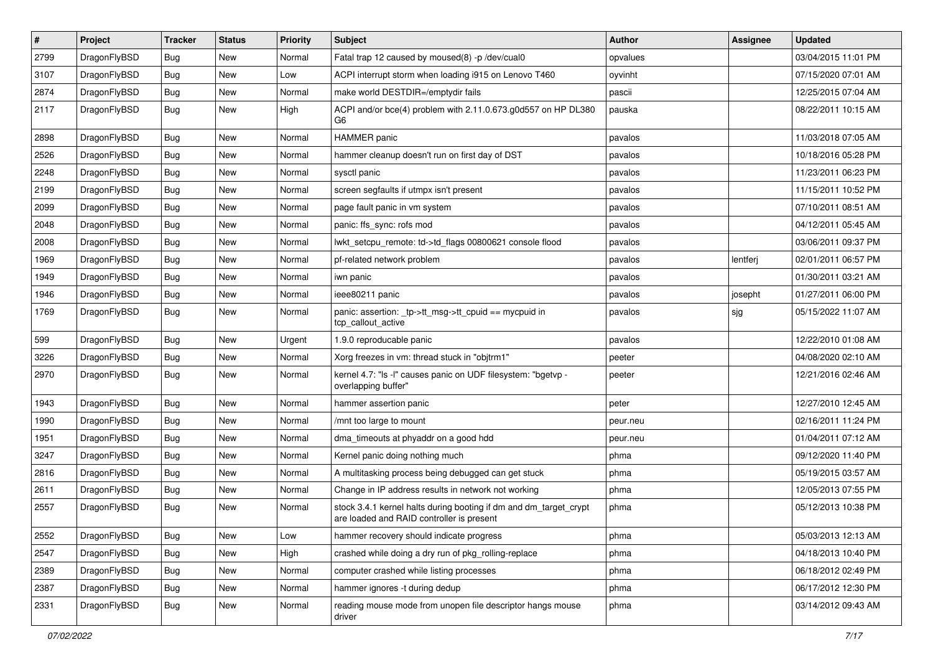| $\vert$ # | Project      | <b>Tracker</b> | <b>Status</b> | <b>Priority</b> | Subject                                                                                                        | <b>Author</b> | Assignee | <b>Updated</b>      |
|-----------|--------------|----------------|---------------|-----------------|----------------------------------------------------------------------------------------------------------------|---------------|----------|---------------------|
| 2799      | DragonFlyBSD | Bug            | <b>New</b>    | Normal          | Fatal trap 12 caused by moused(8) -p /dev/cual0                                                                | opvalues      |          | 03/04/2015 11:01 PM |
| 3107      | DragonFlyBSD | <b>Bug</b>     | <b>New</b>    | Low             | ACPI interrupt storm when loading i915 on Lenovo T460                                                          | oyvinht       |          | 07/15/2020 07:01 AM |
| 2874      | DragonFlyBSD | <b>Bug</b>     | <b>New</b>    | Normal          | make world DESTDIR=/emptydir fails                                                                             | pascii        |          | 12/25/2015 07:04 AM |
| 2117      | DragonFlyBSD | <b>Bug</b>     | New           | High            | ACPI and/or bce(4) problem with 2.11.0.673.g0d557 on HP DL380<br>G6                                            | pauska        |          | 08/22/2011 10:15 AM |
| 2898      | DragonFlyBSD | Bug            | New           | Normal          | HAMMER panic                                                                                                   | pavalos       |          | 11/03/2018 07:05 AM |
| 2526      | DragonFlyBSD | Bug            | <b>New</b>    | Normal          | hammer cleanup doesn't run on first day of DST                                                                 | pavalos       |          | 10/18/2016 05:28 PM |
| 2248      | DragonFlyBSD | <b>Bug</b>     | New           | Normal          | sysctl panic                                                                                                   | pavalos       |          | 11/23/2011 06:23 PM |
| 2199      | DragonFlyBSD | Bug            | <b>New</b>    | Normal          | screen segfaults if utmpx isn't present                                                                        | pavalos       |          | 11/15/2011 10:52 PM |
| 2099      | DragonFlyBSD | Bug            | <b>New</b>    | Normal          | page fault panic in vm system                                                                                  | pavalos       |          | 07/10/2011 08:51 AM |
| 2048      | DragonFlyBSD | <b>Bug</b>     | <b>New</b>    | Normal          | panic: ffs_sync: rofs mod                                                                                      | pavalos       |          | 04/12/2011 05:45 AM |
| 2008      | DragonFlyBSD | Bug            | <b>New</b>    | Normal          | lwkt setcpu remote: td->td flags 00800621 console flood                                                        | pavalos       |          | 03/06/2011 09:37 PM |
| 1969      | DragonFlyBSD | <b>Bug</b>     | New           | Normal          | pf-related network problem                                                                                     | pavalos       | lentferj | 02/01/2011 06:57 PM |
| 1949      | DragonFlyBSD | Bug            | New           | Normal          | iwn panic                                                                                                      | pavalos       |          | 01/30/2011 03:21 AM |
| 1946      | DragonFlyBSD | Bug            | <b>New</b>    | Normal          | ieee80211 panic                                                                                                | pavalos       | josepht  | 01/27/2011 06:00 PM |
| 1769      | DragonFlyBSD | Bug            | New           | Normal          | panic: assertion: _tp->tt_msg->tt_cpuid == mycpuid in<br>tcp_callout_active                                    | pavalos       | sjg      | 05/15/2022 11:07 AM |
| 599       | DragonFlyBSD | <b>Bug</b>     | <b>New</b>    | Urgent          | 1.9.0 reproducable panic                                                                                       | pavalos       |          | 12/22/2010 01:08 AM |
| 3226      | DragonFlyBSD | <b>Bug</b>     | <b>New</b>    | Normal          | Xorg freezes in vm: thread stuck in "objtrm1"                                                                  | peeter        |          | 04/08/2020 02:10 AM |
| 2970      | DragonFlyBSD | Bug            | New           | Normal          | kernel 4.7: "Is -I" causes panic on UDF filesystem: "bgetvp -<br>overlapping buffer"                           | peeter        |          | 12/21/2016 02:46 AM |
| 1943      | DragonFlyBSD | <b>Bug</b>     | <b>New</b>    | Normal          | hammer assertion panic                                                                                         | peter         |          | 12/27/2010 12:45 AM |
| 1990      | DragonFlyBSD | Bug            | <b>New</b>    | Normal          | /mnt too large to mount                                                                                        | peur.neu      |          | 02/16/2011 11:24 PM |
| 1951      | DragonFlyBSD | <b>Bug</b>     | <b>New</b>    | Normal          | dma_timeouts at phyaddr on a good hdd                                                                          | peur.neu      |          | 01/04/2011 07:12 AM |
| 3247      | DragonFlyBSD | <b>Bug</b>     | <b>New</b>    | Normal          | Kernel panic doing nothing much                                                                                | phma          |          | 09/12/2020 11:40 PM |
| 2816      | DragonFlyBSD | Bug            | <b>New</b>    | Normal          | A multitasking process being debugged can get stuck                                                            | phma          |          | 05/19/2015 03:57 AM |
| 2611      | DragonFlyBSD | <b>Bug</b>     | New           | Normal          | Change in IP address results in network not working                                                            | phma          |          | 12/05/2013 07:55 PM |
| 2557      | DragonFlyBSD | <b>Bug</b>     | <b>New</b>    | Normal          | stock 3.4.1 kernel halts during booting if dm and dm_target_crypt<br>are loaded and RAID controller is present | phma          |          | 05/12/2013 10:38 PM |
| 2552      | DragonFlyBSD | <b>Bug</b>     | New           | Low             | hammer recovery should indicate progress                                                                       | phma          |          | 05/03/2013 12:13 AM |
| 2547      | DragonFlyBSD | <b>Bug</b>     | New           | High            | crashed while doing a dry run of pkg_rolling-replace                                                           | phma          |          | 04/18/2013 10:40 PM |
| 2389      | DragonFlyBSD | <b>Bug</b>     | New           | Normal          | computer crashed while listing processes                                                                       | phma          |          | 06/18/2012 02:49 PM |
| 2387      | DragonFlyBSD | <b>Bug</b>     | New           | Normal          | hammer ignores -t during dedup                                                                                 | phma          |          | 06/17/2012 12:30 PM |
| 2331      | DragonFlyBSD | <b>Bug</b>     | New           | Normal          | reading mouse mode from unopen file descriptor hangs mouse<br>driver                                           | phma          |          | 03/14/2012 09:43 AM |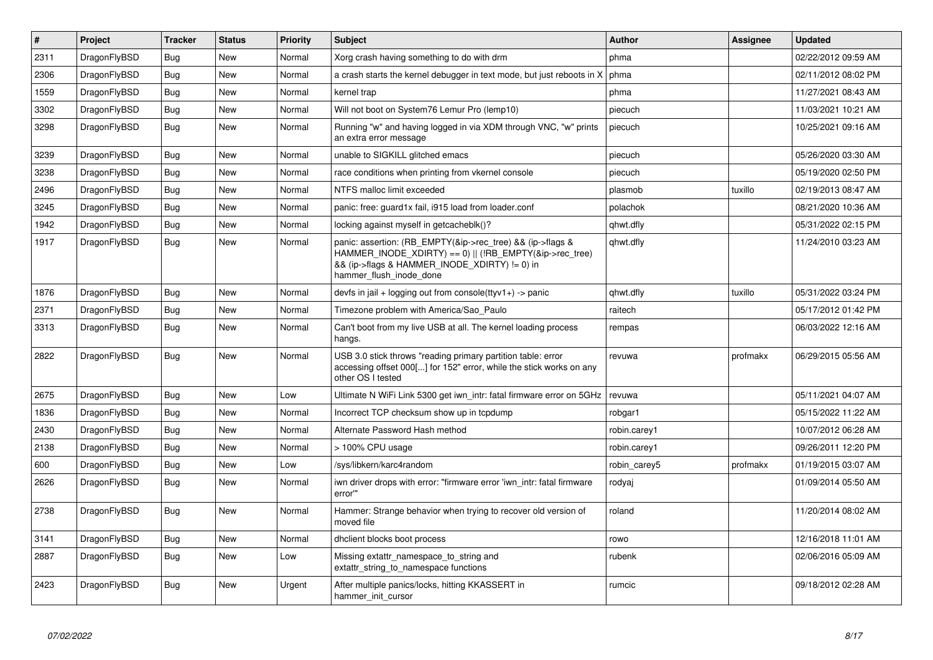| ∦    | <b>Project</b> | <b>Tracker</b> | <b>Status</b> | <b>Priority</b> | <b>Subject</b>                                                                                                                                           | Author       | Assignee | <b>Updated</b>      |
|------|----------------|----------------|---------------|-----------------|----------------------------------------------------------------------------------------------------------------------------------------------------------|--------------|----------|---------------------|
| 2311 | DragonFlyBSD   | Bug            | <b>New</b>    | Normal          | Xorg crash having something to do with drm                                                                                                               | phma         |          | 02/22/2012 09:59 AM |
| 2306 | DragonFlyBSD   | <b>Bug</b>     | <b>New</b>    | Normal          | a crash starts the kernel debugger in text mode, but just reboots in X                                                                                   | phma         |          | 02/11/2012 08:02 PM |
| 1559 | DragonFlyBSD   | Bug            | <b>New</b>    | Normal          | kernel trap                                                                                                                                              | phma         |          | 11/27/2021 08:43 AM |
| 3302 | DragonFlyBSD   | <b>Bug</b>     | <b>New</b>    | Normal          | Will not boot on System76 Lemur Pro (lemp10)                                                                                                             | piecuch      |          | 11/03/2021 10:21 AM |
| 3298 | DragonFlyBSD   | <b>Bug</b>     | <b>New</b>    | Normal          | Running "w" and having logged in via XDM through VNC, "w" prints<br>an extra error message                                                               | piecuch      |          | 10/25/2021 09:16 AM |
| 3239 | DragonFlyBSD   | <b>Bug</b>     | <b>New</b>    | Normal          | unable to SIGKILL glitched emacs                                                                                                                         | piecuch      |          | 05/26/2020 03:30 AM |
| 3238 | DragonFlyBSD   | Bug            | New           | Normal          | race conditions when printing from vkernel console                                                                                                       | piecuch      |          | 05/19/2020 02:50 PM |
| 2496 | DragonFlyBSD   | <b>Bug</b>     | <b>New</b>    | Normal          | NTFS malloc limit exceeded                                                                                                                               | plasmob      | tuxillo  | 02/19/2013 08:47 AM |
| 3245 | DragonFlyBSD   | Bug            | <b>New</b>    | Normal          | panic: free: guard1x fail, i915 load from loader.conf                                                                                                    | polachok     |          | 08/21/2020 10:36 AM |
| 1942 | DragonFlyBSD   | Bug            | <b>New</b>    | Normal          | locking against myself in getcacheblk()?                                                                                                                 | qhwt.dfly    |          | 05/31/2022 02:15 PM |
| 1917 | DragonFlyBSD   | Bug            | <b>New</b>    | Normal          | panic: assertion: (RB_EMPTY(&ip->rec_tree) && (ip->flags &<br>&& (ip->flags & HAMMER_INODE_XDIRTY) != 0) in<br>hammer_flush_inode_done                   | qhwt.dfly    |          | 11/24/2010 03:23 AM |
| 1876 | DragonFlyBSD   | Bug            | <b>New</b>    | Normal          | devfs in jail + logging out from console(ttyv1+) -> panic                                                                                                | qhwt.dfly    | tuxillo  | 05/31/2022 03:24 PM |
| 2371 | DragonFlyBSD   | <b>Bug</b>     | <b>New</b>    | Normal          | Timezone problem with America/Sao Paulo                                                                                                                  | raitech      |          | 05/17/2012 01:42 PM |
| 3313 | DragonFlyBSD   | <b>Bug</b>     | New           | Normal          | Can't boot from my live USB at all. The kernel loading process<br>hangs.                                                                                 | rempas       |          | 06/03/2022 12:16 AM |
| 2822 | DragonFlyBSD   | <b>Bug</b>     | <b>New</b>    | Normal          | USB 3.0 stick throws "reading primary partition table: error<br>accessing offset 000[] for 152" error, while the stick works on any<br>other OS I tested | revuwa       | profmakx | 06/29/2015 05:56 AM |
| 2675 | DragonFlyBSD   | Bug            | <b>New</b>    | Low             | Ultimate N WiFi Link 5300 get iwn_intr: fatal firmware error on 5GHz                                                                                     | revuwa       |          | 05/11/2021 04:07 AM |
| 1836 | DragonFlyBSD   | Bug            | <b>New</b>    | Normal          | Incorrect TCP checksum show up in tcpdump                                                                                                                | robgar1      |          | 05/15/2022 11:22 AM |
| 2430 | DragonFlyBSD   | Bug            | <b>New</b>    | Normal          | Alternate Password Hash method                                                                                                                           | robin.carey1 |          | 10/07/2012 06:28 AM |
| 2138 | DragonFlyBSD   | Bug            | <b>New</b>    | Normal          | > 100% CPU usage                                                                                                                                         | robin.carey1 |          | 09/26/2011 12:20 PM |
| 600  | DragonFlyBSD   | Bug            | <b>New</b>    | Low             | /sys/libkern/karc4random                                                                                                                                 | robin carey5 | profmakx | 01/19/2015 03:07 AM |
| 2626 | DragonFlyBSD   | <b>Bug</b>     | <b>New</b>    | Normal          | iwn driver drops with error: "firmware error 'iwn_intr: fatal firmware<br>error"                                                                         | rodyaj       |          | 01/09/2014 05:50 AM |
| 2738 | DragonFlyBSD   | Bug            | New           | Normal          | Hammer: Strange behavior when trying to recover old version of<br>moved file                                                                             | roland       |          | 11/20/2014 08:02 AM |
| 3141 | DragonFlyBSD   | Bug            | <b>New</b>    | Normal          | dhclient blocks boot process                                                                                                                             | rowo         |          | 12/16/2018 11:01 AM |
| 2887 | DragonFlyBSD   | <b>Bug</b>     | <b>New</b>    | Low             | Missing extattr namespace to string and<br>extattr_string_to_namespace functions                                                                         | rubenk       |          | 02/06/2016 05:09 AM |
| 2423 | DragonFlyBSD   | Bug            | New           | Urgent          | After multiple panics/locks, hitting KKASSERT in<br>hammer init cursor                                                                                   | rumcic       |          | 09/18/2012 02:28 AM |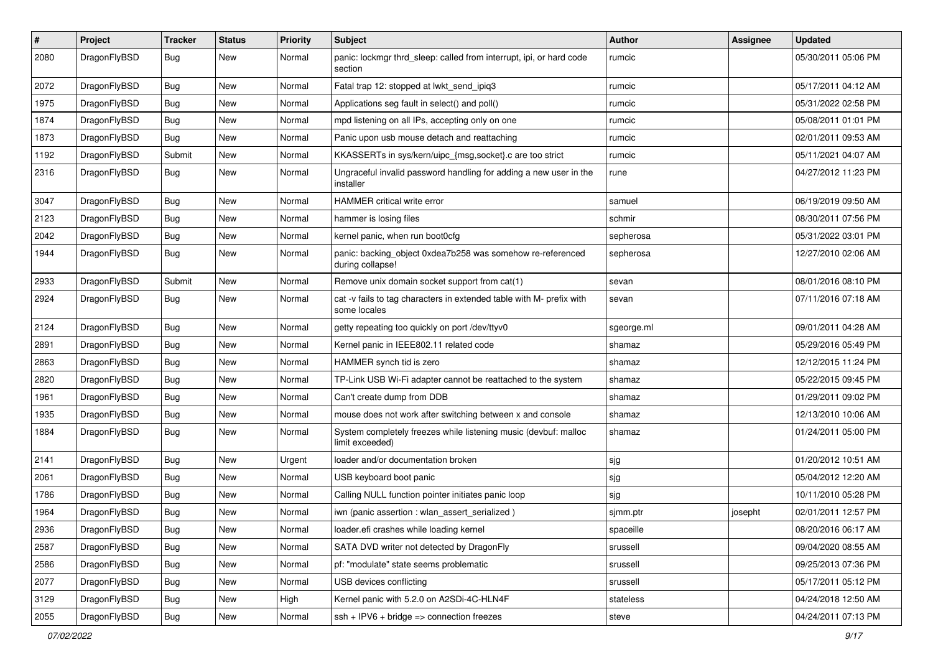| $\sharp$ | Project      | <b>Tracker</b> | <b>Status</b> | <b>Priority</b> | Subject                                                                              | <b>Author</b> | Assignee | <b>Updated</b>      |
|----------|--------------|----------------|---------------|-----------------|--------------------------------------------------------------------------------------|---------------|----------|---------------------|
| 2080     | DragonFlyBSD | Bug            | New           | Normal          | panic: lockmgr thrd_sleep: called from interrupt, ipi, or hard code<br>section       | rumcic        |          | 05/30/2011 05:06 PM |
| 2072     | DragonFlyBSD | Bug            | <b>New</b>    | Normal          | Fatal trap 12: stopped at lwkt send ipig3                                            | rumcic        |          | 05/17/2011 04:12 AM |
| 1975     | DragonFlyBSD | <b>Bug</b>     | New           | Normal          | Applications seg fault in select() and poll()                                        | rumcic        |          | 05/31/2022 02:58 PM |
| 1874     | DragonFlyBSD | Bug            | <b>New</b>    | Normal          | mpd listening on all IPs, accepting only on one                                      | rumcic        |          | 05/08/2011 01:01 PM |
| 1873     | DragonFlyBSD | <b>Bug</b>     | <b>New</b>    | Normal          | Panic upon usb mouse detach and reattaching                                          | rumcic        |          | 02/01/2011 09:53 AM |
| 1192     | DragonFlyBSD | Submit         | <b>New</b>    | Normal          | KKASSERTs in sys/kern/uipc_{msg,socket}.c are too strict                             | rumcic        |          | 05/11/2021 04:07 AM |
| 2316     | DragonFlyBSD | Bug            | New           | Normal          | Ungraceful invalid password handling for adding a new user in the<br>installer       | rune          |          | 04/27/2012 11:23 PM |
| 3047     | DragonFlyBSD | Bug            | <b>New</b>    | Normal          | HAMMER critical write error                                                          | samuel        |          | 06/19/2019 09:50 AM |
| 2123     | DragonFlyBSD | <b>Bug</b>     | New           | Normal          | hammer is losing files                                                               | schmir        |          | 08/30/2011 07:56 PM |
| 2042     | DragonFlyBSD | <b>Bug</b>     | New           | Normal          | kernel panic, when run boot0cfg                                                      | sepherosa     |          | 05/31/2022 03:01 PM |
| 1944     | DragonFlyBSD | Bug            | New           | Normal          | panic: backing_object 0xdea7b258 was somehow re-referenced<br>during collapse!       | sepherosa     |          | 12/27/2010 02:06 AM |
| 2933     | DragonFlyBSD | Submit         | <b>New</b>    | Normal          | Remove unix domain socket support from cat(1)                                        | sevan         |          | 08/01/2016 08:10 PM |
| 2924     | DragonFlyBSD | Bug            | New           | Normal          | cat -v fails to tag characters in extended table with M- prefix with<br>some locales | sevan         |          | 07/11/2016 07:18 AM |
| 2124     | DragonFlyBSD | Bug            | New           | Normal          | getty repeating too quickly on port /dev/ttyv0                                       | sgeorge.ml    |          | 09/01/2011 04:28 AM |
| 2891     | DragonFlyBSD | <b>Bug</b>     | <b>New</b>    | Normal          | Kernel panic in IEEE802.11 related code                                              | shamaz        |          | 05/29/2016 05:49 PM |
| 2863     | DragonFlyBSD | <b>Bug</b>     | <b>New</b>    | Normal          | HAMMER synch tid is zero                                                             | shamaz        |          | 12/12/2015 11:24 PM |
| 2820     | DragonFlyBSD | Bug            | <b>New</b>    | Normal          | TP-Link USB Wi-Fi adapter cannot be reattached to the system                         | shamaz        |          | 05/22/2015 09:45 PM |
| 1961     | DragonFlyBSD | <b>Bug</b>     | New           | Normal          | Can't create dump from DDB                                                           | shamaz        |          | 01/29/2011 09:02 PM |
| 1935     | DragonFlyBSD | <b>Bug</b>     | <b>New</b>    | Normal          | mouse does not work after switching between x and console                            | shamaz        |          | 12/13/2010 10:06 AM |
| 1884     | DragonFlyBSD | <b>Bug</b>     | New           | Normal          | System completely freezes while listening music (devbuf: malloc<br>limit exceeded)   | shamaz        |          | 01/24/2011 05:00 PM |
| 2141     | DragonFlyBSD | <b>Bug</b>     | New           | Urgent          | loader and/or documentation broken                                                   | sjg           |          | 01/20/2012 10:51 AM |
| 2061     | DragonFlyBSD | <b>Bug</b>     | <b>New</b>    | Normal          | USB keyboard boot panic                                                              | sjg           |          | 05/04/2012 12:20 AM |
| 1786     | DragonFlyBSD | <b>Bug</b>     | New           | Normal          | Calling NULL function pointer initiates panic loop                                   | sjg           |          | 10/11/2010 05:28 PM |
| 1964     | DragonFlyBSD | Bug            | New           | Normal          | iwn (panic assertion : wlan_assert_serialized)                                       | sjmm.ptr      | josepht  | 02/01/2011 12:57 PM |
| 2936     | DragonFlyBSD | Bug            | New           | Normal          | loader.efi crashes while loading kernel                                              | spaceille     |          | 08/20/2016 06:17 AM |
| 2587     | DragonFlyBSD | Bug            | New           | Normal          | SATA DVD writer not detected by DragonFly                                            | srussell      |          | 09/04/2020 08:55 AM |
| 2586     | DragonFlyBSD | <b>Bug</b>     | New           | Normal          | pf: "modulate" state seems problematic                                               | srussell      |          | 09/25/2013 07:36 PM |
| 2077     | DragonFlyBSD | <b>Bug</b>     | New           | Normal          | USB devices conflicting                                                              | srussell      |          | 05/17/2011 05:12 PM |
| 3129     | DragonFlyBSD | <b>Bug</b>     | New           | High            | Kernel panic with 5.2.0 on A2SDi-4C-HLN4F                                            | stateless     |          | 04/24/2018 12:50 AM |
| 2055     | DragonFlyBSD | <b>Bug</b>     | New           | Normal          | $ssh + IPV6 + bridge \Rightarrow$ connection freezes                                 | steve         |          | 04/24/2011 07:13 PM |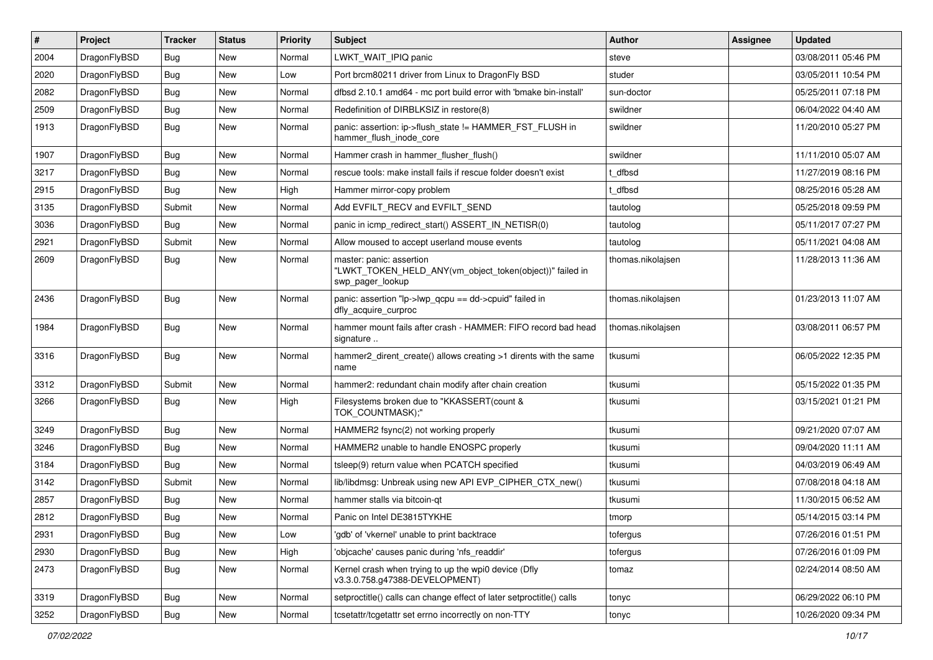| $\vert$ # | Project      | <b>Tracker</b> | <b>Status</b> | <b>Priority</b> | <b>Subject</b>                                                                                           | Author            | Assignee | <b>Updated</b>      |
|-----------|--------------|----------------|---------------|-----------------|----------------------------------------------------------------------------------------------------------|-------------------|----------|---------------------|
| 2004      | DragonFlyBSD | Bug            | <b>New</b>    | Normal          | LWKT_WAIT_IPIQ panic                                                                                     | steve             |          | 03/08/2011 05:46 PM |
| 2020      | DragonFlyBSD | <b>Bug</b>     | <b>New</b>    | Low             | Port brcm80211 driver from Linux to DragonFly BSD                                                        | studer            |          | 03/05/2011 10:54 PM |
| 2082      | DragonFlyBSD | <b>Bug</b>     | <b>New</b>    | Normal          | dfbsd 2.10.1 amd64 - mc port build error with 'bmake bin-install'                                        | sun-doctor        |          | 05/25/2011 07:18 PM |
| 2509      | DragonFlyBSD | <b>Bug</b>     | <b>New</b>    | Normal          | Redefinition of DIRBLKSIZ in restore(8)                                                                  | swildner          |          | 06/04/2022 04:40 AM |
| 1913      | DragonFlyBSD | Bug            | <b>New</b>    | Normal          | panic: assertion: ip->flush_state != HAMMER_FST_FLUSH in<br>hammer flush inode core                      | swildner          |          | 11/20/2010 05:27 PM |
| 1907      | DragonFlyBSD | Bug            | <b>New</b>    | Normal          | Hammer crash in hammer flusher flush()                                                                   | swildner          |          | 11/11/2010 05:07 AM |
| 3217      | DragonFlyBSD | <b>Bug</b>     | New           | Normal          | rescue tools: make install fails if rescue folder doesn't exist                                          | t dfbsd           |          | 11/27/2019 08:16 PM |
| 2915      | DragonFlyBSD | Bug            | <b>New</b>    | High            | Hammer mirror-copy problem                                                                               | t dfbsd           |          | 08/25/2016 05:28 AM |
| 3135      | DragonFlyBSD | Submit         | <b>New</b>    | Normal          | Add EVFILT_RECV and EVFILT_SEND                                                                          | tautolog          |          | 05/25/2018 09:59 PM |
| 3036      | DragonFlyBSD | Bug            | <b>New</b>    | Normal          | panic in icmp redirect start() ASSERT IN NETISR(0)                                                       | tautolog          |          | 05/11/2017 07:27 PM |
| 2921      | DragonFlyBSD | Submit         | <b>New</b>    | Normal          | Allow moused to accept userland mouse events                                                             | tautolog          |          | 05/11/2021 04:08 AM |
| 2609      | DragonFlyBSD | Bug            | New           | Normal          | master: panic: assertion<br>"LWKT_TOKEN_HELD_ANY(vm_object_token(object))" failed in<br>swp pager lookup | thomas.nikolaisen |          | 11/28/2013 11:36 AM |
| 2436      | DragonFlyBSD | <b>Bug</b>     | New           | Normal          | panic: assertion "lp->lwp_qcpu == dd->cpuid" failed in<br>dfly_acquire_curproc                           | thomas.nikolaisen |          | 01/23/2013 11:07 AM |
| 1984      | DragonFlyBSD | Bug            | New           | Normal          | hammer mount fails after crash - HAMMER: FIFO record bad head<br>signature                               | thomas.nikolajsen |          | 03/08/2011 06:57 PM |
| 3316      | DragonFlyBSD | Bug            | <b>New</b>    | Normal          | hammer2 dirent create() allows creating >1 dirents with the same<br>name                                 | tkusumi           |          | 06/05/2022 12:35 PM |
| 3312      | DragonFlyBSD | Submit         | <b>New</b>    | Normal          | hammer2: redundant chain modify after chain creation                                                     | tkusumi           |          | 05/15/2022 01:35 PM |
| 3266      | DragonFlyBSD | Bug            | New           | High            | Filesystems broken due to "KKASSERT(count &<br>TOK COUNTMASK);"                                          | tkusumi           |          | 03/15/2021 01:21 PM |
| 3249      | DragonFlyBSD | <b>Bug</b>     | New           | Normal          | HAMMER2 fsync(2) not working properly                                                                    | tkusumi           |          | 09/21/2020 07:07 AM |
| 3246      | DragonFlyBSD | Bug            | <b>New</b>    | Normal          | HAMMER2 unable to handle ENOSPC properly                                                                 | tkusumi           |          | 09/04/2020 11:11 AM |
| 3184      | DragonFlyBSD | <b>Bug</b>     | <b>New</b>    | Normal          | tsleep(9) return value when PCATCH specified                                                             | tkusumi           |          | 04/03/2019 06:49 AM |
| 3142      | DragonFlyBSD | Submit         | <b>New</b>    | Normal          | lib/libdmsg: Unbreak using new API EVP_CIPHER_CTX_new()                                                  | tkusumi           |          | 07/08/2018 04:18 AM |
| 2857      | DragonFlyBSD | Bug            | <b>New</b>    | Normal          | hammer stalls via bitcoin-gt                                                                             | tkusumi           |          | 11/30/2015 06:52 AM |
| 2812      | DragonFlyBSD | <b>Bug</b>     | New           | Normal          | Panic on Intel DE3815TYKHE                                                                               | tmorp             |          | 05/14/2015 03:14 PM |
| 2931      | DragonFlyBSD | <b>Bug</b>     | New           | Low             | 'gdb' of 'vkernel' unable to print backtrace                                                             | tofergus          |          | 07/26/2016 01:51 PM |
| 2930      | DragonFlyBSD | <b>Bug</b>     | New           | High            | 'objcache' causes panic during 'nfs_readdir'                                                             | tofergus          |          | 07/26/2016 01:09 PM |
| 2473      | DragonFlyBSD | <b>Bug</b>     | New           | Normal          | Kernel crash when trying to up the wpi0 device (Dfly<br>v3.3.0.758.g47388-DEVELOPMENT)                   | tomaz             |          | 02/24/2014 08:50 AM |
| 3319      | DragonFlyBSD | <b>Bug</b>     | New           | Normal          | setproctitle() calls can change effect of later setproctitle() calls                                     | tonyc             |          | 06/29/2022 06:10 PM |
| 3252      | DragonFlyBSD | Bug            | New           | Normal          | tcsetattr/tcgetattr set errno incorrectly on non-TTY                                                     | tonyc             |          | 10/26/2020 09:34 PM |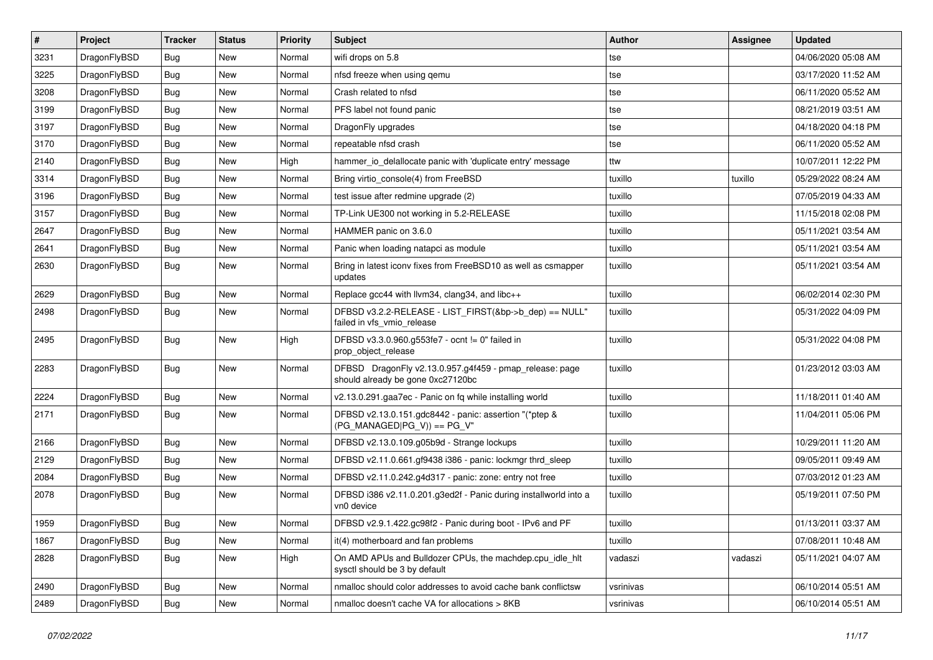| $\sharp$ | Project      | <b>Tracker</b> | <b>Status</b> | <b>Priority</b> | Subject                                                                                      | Author    | Assignee | <b>Updated</b>      |
|----------|--------------|----------------|---------------|-----------------|----------------------------------------------------------------------------------------------|-----------|----------|---------------------|
| 3231     | DragonFlyBSD | Bug            | New           | Normal          | wifi drops on 5.8                                                                            | tse       |          | 04/06/2020 05:08 AM |
| 3225     | DragonFlyBSD | Bug            | <b>New</b>    | Normal          | nfsd freeze when using qemu                                                                  | tse       |          | 03/17/2020 11:52 AM |
| 3208     | DragonFlyBSD | Bug            | New           | Normal          | Crash related to nfsd                                                                        | tse       |          | 06/11/2020 05:52 AM |
| 3199     | DragonFlyBSD | Bug            | New           | Normal          | PFS label not found panic                                                                    | tse       |          | 08/21/2019 03:51 AM |
| 3197     | DragonFlyBSD | Bug            | <b>New</b>    | Normal          | DragonFly upgrades                                                                           | tse       |          | 04/18/2020 04:18 PM |
| 3170     | DragonFlyBSD | Bug            | <b>New</b>    | Normal          | repeatable nfsd crash                                                                        | tse       |          | 06/11/2020 05:52 AM |
| 2140     | DragonFlyBSD | Bug            | New           | High            | hammer_io_delallocate panic with 'duplicate entry' message                                   | ttw       |          | 10/07/2011 12:22 PM |
| 3314     | DragonFlyBSD | Bug            | New           | Normal          | Bring virtio_console(4) from FreeBSD                                                         | tuxillo   | tuxillo  | 05/29/2022 08:24 AM |
| 3196     | DragonFlyBSD | Bug            | <b>New</b>    | Normal          | test issue after redmine upgrade (2)                                                         | tuxillo   |          | 07/05/2019 04:33 AM |
| 3157     | DragonFlyBSD | Bug            | New           | Normal          | TP-Link UE300 not working in 5.2-RELEASE                                                     | tuxillo   |          | 11/15/2018 02:08 PM |
| 2647     | DragonFlyBSD | Bug            | New           | Normal          | HAMMER panic on 3.6.0                                                                        | tuxillo   |          | 05/11/2021 03:54 AM |
| 2641     | DragonFlyBSD | Bug            | <b>New</b>    | Normal          | Panic when loading natapci as module                                                         | tuxillo   |          | 05/11/2021 03:54 AM |
| 2630     | DragonFlyBSD | Bug            | <b>New</b>    | Normal          | Bring in latest iconv fixes from FreeBSD10 as well as csmapper<br>updates                    | tuxillo   |          | 05/11/2021 03:54 AM |
| 2629     | DragonFlyBSD | Bug            | <b>New</b>    | Normal          | Replace gcc44 with llvm34, clang34, and libc++                                               | tuxillo   |          | 06/02/2014 02:30 PM |
| 2498     | DragonFlyBSD | Bug            | New           | Normal          | DFBSD v3.2.2-RELEASE - LIST_FIRST(&bp->b_dep) == NULL"<br>failed in vfs_vmio_release         | tuxillo   |          | 05/31/2022 04:09 PM |
| 2495     | DragonFlyBSD | Bug            | <b>New</b>    | High            | DFBSD v3.3.0.960.g553fe7 - ocnt != 0" failed in<br>prop object release                       | tuxillo   |          | 05/31/2022 04:08 PM |
| 2283     | DragonFlyBSD | Bug            | <b>New</b>    | Normal          | DFBSD DragonFly v2.13.0.957.g4f459 - pmap_release: page<br>should already be gone 0xc27120bc | tuxillo   |          | 01/23/2012 03:03 AM |
| 2224     | DragonFlyBSD | Bug            | New           | Normal          | v2.13.0.291.gaa7ec - Panic on fq while installing world                                      | tuxillo   |          | 11/18/2011 01:40 AM |
| 2171     | DragonFlyBSD | Bug            | New           | Normal          | DFBSD v2.13.0.151.gdc8442 - panic: assertion "(*ptep &<br>$(PG_MANAGED PG_V)$ == PG_V"       | tuxillo   |          | 11/04/2011 05:06 PM |
| 2166     | DragonFlyBSD | Bug            | <b>New</b>    | Normal          | DFBSD v2.13.0.109.g05b9d - Strange lockups                                                   | tuxillo   |          | 10/29/2011 11:20 AM |
| 2129     | DragonFlyBSD | Bug            | <b>New</b>    | Normal          | DFBSD v2.11.0.661.gf9438 i386 - panic: lockmgr thrd sleep                                    | tuxillo   |          | 09/05/2011 09:49 AM |
| 2084     | DragonFlyBSD | Bug            | New           | Normal          | DFBSD v2.11.0.242.g4d317 - panic: zone: entry not free                                       | tuxillo   |          | 07/03/2012 01:23 AM |
| 2078     | DragonFlyBSD | Bug            | New           | Normal          | DFBSD i386 v2.11.0.201.g3ed2f - Panic during installworld into a<br>vn0 device               | tuxillo   |          | 05/19/2011 07:50 PM |
| 1959     | DragonFlyBSD | Bug            | <b>New</b>    | Normal          | DFBSD v2.9.1.422.gc98f2 - Panic during boot - IPv6 and PF                                    | tuxillo   |          | 01/13/2011 03:37 AM |
| 1867     | DragonFlyBSD | <b>Bug</b>     | New           | Normal          | it(4) motherboard and fan problems                                                           | tuxillo   |          | 07/08/2011 10:48 AM |
| 2828     | DragonFlyBSD | Bug            | New           | High            | On AMD APUs and Bulldozer CPUs, the machdep.cpu idle hlt<br>sysctl should be 3 by default    | vadaszi   | vadaszi  | 05/11/2021 04:07 AM |
| 2490     | DragonFlyBSD | <b>Bug</b>     | <b>New</b>    | Normal          | nmalloc should color addresses to avoid cache bank conflictsw                                | vsrinivas |          | 06/10/2014 05:51 AM |
| 2489     | DragonFlyBSD | <b>Bug</b>     | New           | Normal          | nmalloc doesn't cache VA for allocations > 8KB                                               | vsrinivas |          | 06/10/2014 05:51 AM |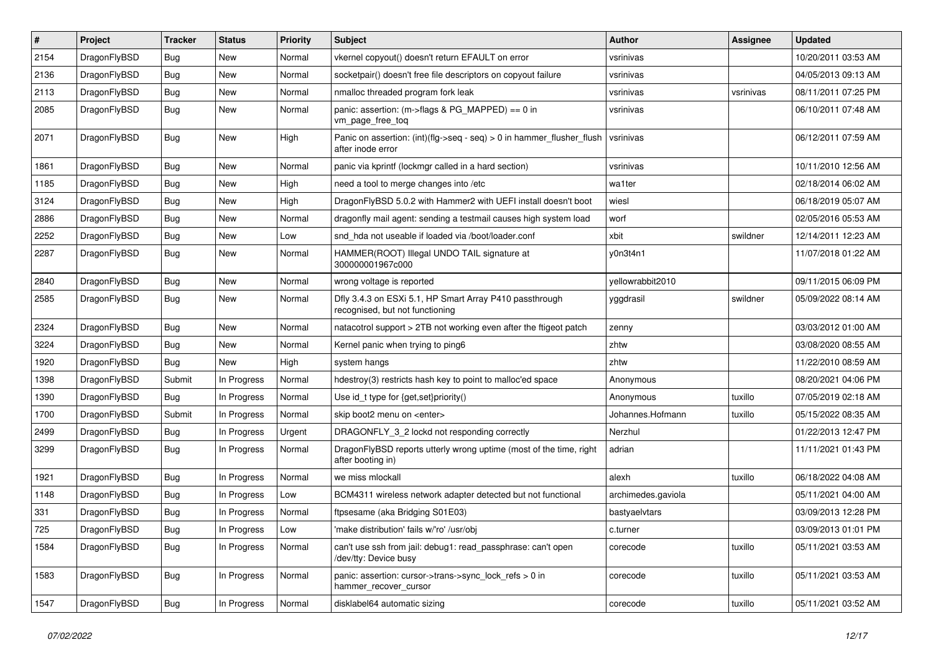| $\sharp$ | Project      | <b>Tracker</b> | <b>Status</b> | <b>Priority</b> | Subject                                                                                    | Author             | <b>Assignee</b> | <b>Updated</b>      |
|----------|--------------|----------------|---------------|-----------------|--------------------------------------------------------------------------------------------|--------------------|-----------------|---------------------|
| 2154     | DragonFlyBSD | Bug            | New           | Normal          | vkernel copyout() doesn't return EFAULT on error                                           | vsrinivas          |                 | 10/20/2011 03:53 AM |
| 2136     | DragonFlyBSD | Bug            | <b>New</b>    | Normal          | socketpair() doesn't free file descriptors on copyout failure                              | vsrinivas          |                 | 04/05/2013 09:13 AM |
| 2113     | DragonFlyBSD | Bug            | New           | Normal          | nmalloc threaded program fork leak                                                         | vsrinivas          | vsrinivas       | 08/11/2011 07:25 PM |
| 2085     | DragonFlyBSD | Bug            | New           | Normal          | panic: assertion: (m->flags & PG_MAPPED) == 0 in<br>vm_page_free_toq                       | vsrinivas          |                 | 06/10/2011 07:48 AM |
| 2071     | DragonFlyBSD | Bug            | New           | High            | Panic on assertion: (int)(flg->seq - seq) > 0 in hammer_flusher_flush<br>after inode error | vsrinivas          |                 | 06/12/2011 07:59 AM |
| 1861     | DragonFlyBSD | <b>Bug</b>     | New           | Normal          | panic via kprintf (lockmgr called in a hard section)                                       | vsrinivas          |                 | 10/11/2010 12:56 AM |
| 1185     | DragonFlyBSD | Bug            | New           | High            | need a tool to merge changes into /etc                                                     | wa1ter             |                 | 02/18/2014 06:02 AM |
| 3124     | DragonFlyBSD | Bug            | New           | High            | DragonFlyBSD 5.0.2 with Hammer2 with UEFI install doesn't boot                             | wiesl              |                 | 06/18/2019 05:07 AM |
| 2886     | DragonFlyBSD | <b>Bug</b>     | New           | Normal          | dragonfly mail agent: sending a testmail causes high system load                           | worf               |                 | 02/05/2016 05:53 AM |
| 2252     | DragonFlyBSD | <b>Bug</b>     | <b>New</b>    | Low             | snd hda not useable if loaded via /boot/loader.conf                                        | xbit               | swildner        | 12/14/2011 12:23 AM |
| 2287     | DragonFlyBSD | <b>Bug</b>     | New           | Normal          | HAMMER(ROOT) Illegal UNDO TAIL signature at<br>300000001967c000                            | y0n3t4n1           |                 | 11/07/2018 01:22 AM |
| 2840     | DragonFlyBSD | Bug            | New           | Normal          | wrong voltage is reported                                                                  | yellowrabbit2010   |                 | 09/11/2015 06:09 PM |
| 2585     | DragonFlyBSD | <b>Bug</b>     | <b>New</b>    | Normal          | Dfly 3.4.3 on ESXi 5.1, HP Smart Array P410 passthrough<br>recognised, but not functioning | yggdrasil          | swildner        | 05/09/2022 08:14 AM |
| 2324     | DragonFlyBSD | Bug            | <b>New</b>    | Normal          | natacotrol support > 2TB not working even after the ftigeot patch                          | zenny              |                 | 03/03/2012 01:00 AM |
| 3224     | DragonFlyBSD | Bug            | New           | Normal          | Kernel panic when trying to ping6                                                          | zhtw               |                 | 03/08/2020 08:55 AM |
| 1920     | DragonFlyBSD | <b>Bug</b>     | New           | High            | system hangs                                                                               | zhtw               |                 | 11/22/2010 08:59 AM |
| 1398     | DragonFlyBSD | Submit         | In Progress   | Normal          | hdestroy(3) restricts hash key to point to malloc'ed space                                 | Anonymous          |                 | 08/20/2021 04:06 PM |
| 1390     | DragonFlyBSD | <b>Bug</b>     | In Progress   | Normal          | Use id_t type for $\{get, set\}$ priority $()$                                             | Anonymous          | tuxillo         | 07/05/2019 02:18 AM |
| 1700     | DragonFlyBSD | Submit         | In Progress   | Normal          | skip boot2 menu on <enter></enter>                                                         | Johannes.Hofmann   | tuxillo         | 05/15/2022 08:35 AM |
| 2499     | DragonFlyBSD | Bug            | In Progress   | Urgent          | DRAGONFLY_3_2 lockd not responding correctly                                               | Nerzhul            |                 | 01/22/2013 12:47 PM |
| 3299     | DragonFlyBSD | Bug            | In Progress   | Normal          | DragonFlyBSD reports utterly wrong uptime (most of the time, right<br>after booting in)    | adrian             |                 | 11/11/2021 01:43 PM |
| 1921     | DragonFlyBSD | Bug            | In Progress   | Normal          | we miss mlockall                                                                           | alexh              | tuxillo         | 06/18/2022 04:08 AM |
| 1148     | DragonFlyBSD | <b>Bug</b>     | In Progress   | Low             | BCM4311 wireless network adapter detected but not functional                               | archimedes.gaviola |                 | 05/11/2021 04:00 AM |
| 331      | DragonFlyBSD | Bug            | In Progress   | Normal          | ftpsesame (aka Bridging S01E03)                                                            | bastyaelvtars      |                 | 03/09/2013 12:28 PM |
| 725      | DragonFlyBSD | <b>Bug</b>     | In Progress   | Low             | 'make distribution' fails w/'ro' /usr/obj                                                  | c.turner           |                 | 03/09/2013 01:01 PM |
| 1584     | DragonFlyBSD | <b>Bug</b>     | In Progress   | Normal          | can't use ssh from jail: debug1: read passphrase: can't open<br>/dev/tty: Device busy      | corecode           | tuxillo         | 05/11/2021 03:53 AM |
| 1583     | DragonFlyBSD | <b>Bug</b>     | In Progress   | Normal          | panic: assertion: cursor->trans->sync_lock_refs > 0 in<br>hammer_recover_cursor            | corecode           | tuxillo         | 05/11/2021 03:53 AM |
| 1547     | DragonFlyBSD | <b>Bug</b>     | In Progress   | Normal          | disklabel64 automatic sizing                                                               | corecode           | tuxillo         | 05/11/2021 03:52 AM |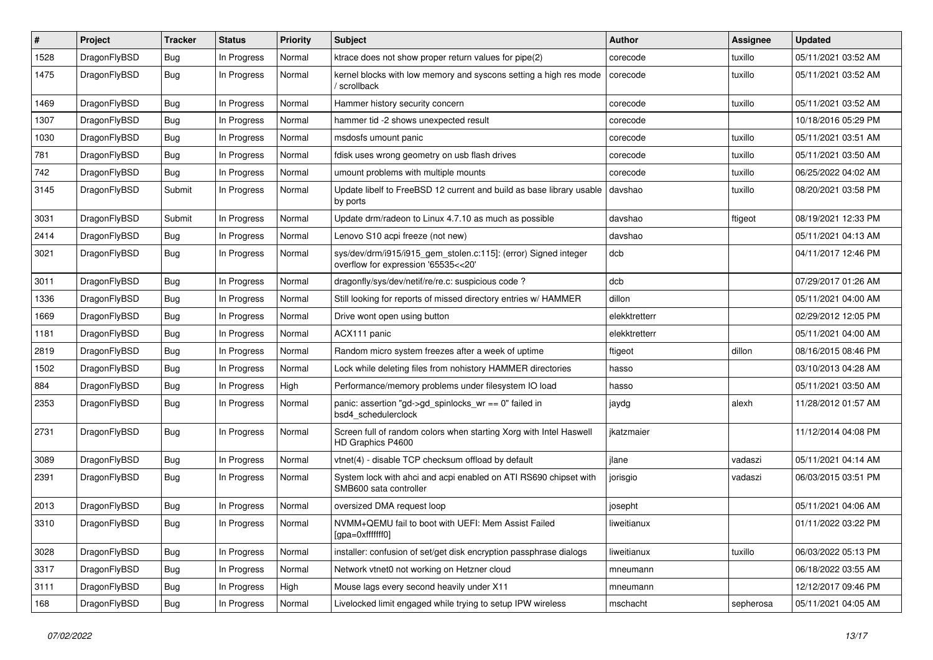| ∦    | Project      | <b>Tracker</b> | <b>Status</b> | <b>Priority</b> | <b>Subject</b>                                                                                         | <b>Author</b> | Assignee  | <b>Updated</b>      |
|------|--------------|----------------|---------------|-----------------|--------------------------------------------------------------------------------------------------------|---------------|-----------|---------------------|
| 1528 | DragonFlyBSD | Bug            | In Progress   | Normal          | ktrace does not show proper return values for pipe(2)                                                  | corecode      | tuxillo   | 05/11/2021 03:52 AM |
| 1475 | DragonFlyBSD | Bug            | In Progress   | Normal          | kernel blocks with low memory and syscons setting a high res mode<br>scrollback                        | corecode      | tuxillo   | 05/11/2021 03:52 AM |
| 1469 | DragonFlyBSD | Bug            | In Progress   | Normal          | Hammer history security concern                                                                        | corecode      | tuxillo   | 05/11/2021 03:52 AM |
| 1307 | DragonFlyBSD | <b>Bug</b>     | In Progress   | Normal          | hammer tid -2 shows unexpected result                                                                  | corecode      |           | 10/18/2016 05:29 PM |
| 1030 | DragonFlyBSD | Bug            | In Progress   | Normal          | msdosfs umount panic                                                                                   | corecode      | tuxillo   | 05/11/2021 03:51 AM |
| 781  | DragonFlyBSD | Bug            | In Progress   | Normal          | fdisk uses wrong geometry on usb flash drives                                                          | corecode      | tuxillo   | 05/11/2021 03:50 AM |
| 742  | DragonFlyBSD | <b>Bug</b>     | In Progress   | Normal          | umount problems with multiple mounts                                                                   | corecode      | tuxillo   | 06/25/2022 04:02 AM |
| 3145 | DragonFlyBSD | Submit         | In Progress   | Normal          | Update libelf to FreeBSD 12 current and build as base library usable<br>by ports                       | davshao       | tuxillo   | 08/20/2021 03:58 PM |
| 3031 | DragonFlyBSD | Submit         | In Progress   | Normal          | Update drm/radeon to Linux 4.7.10 as much as possible                                                  | davshao       | ftigeot   | 08/19/2021 12:33 PM |
| 2414 | DragonFlyBSD | Bug            | In Progress   | Normal          | Lenovo S10 acpi freeze (not new)                                                                       | davshao       |           | 05/11/2021 04:13 AM |
| 3021 | DragonFlyBSD | Bug            | In Progress   | Normal          | sys/dev/drm/i915/i915_gem_stolen.c:115]: (error) Signed integer<br>overflow for expression '65535<<20' | dcb           |           | 04/11/2017 12:46 PM |
| 3011 | DragonFlyBSD | Bug            | In Progress   | Normal          | dragonfly/sys/dev/netif/re/re.c: suspicious code?                                                      | dcb           |           | 07/29/2017 01:26 AM |
| 1336 | DragonFlyBSD | <b>Bug</b>     | In Progress   | Normal          | Still looking for reports of missed directory entries w/ HAMMER                                        | dillon        |           | 05/11/2021 04:00 AM |
| 1669 | DragonFlyBSD | Bug            | In Progress   | Normal          | Drive wont open using button                                                                           | elekktretterr |           | 02/29/2012 12:05 PM |
| 1181 | DragonFlyBSD | Bug            | In Progress   | Normal          | ACX111 panic                                                                                           | elekktretterr |           | 05/11/2021 04:00 AM |
| 2819 | DragonFlyBSD | <b>Bug</b>     | In Progress   | Normal          | Random micro system freezes after a week of uptime                                                     | ftigeot       | dillon    | 08/16/2015 08:46 PM |
| 1502 | DragonFlyBSD | Bug            | In Progress   | Normal          | Lock while deleting files from nohistory HAMMER directories                                            | hasso         |           | 03/10/2013 04:28 AM |
| 884  | DragonFlyBSD | <b>Bug</b>     | In Progress   | High            | Performance/memory problems under filesystem IO load                                                   | hasso         |           | 05/11/2021 03:50 AM |
| 2353 | DragonFlyBSD | <b>Bug</b>     | In Progress   | Normal          | panic: assertion "gd->gd_spinlocks_wr == 0" failed in<br>bsd4_schedulerclock                           | jaydg         | alexh     | 11/28/2012 01:57 AM |
| 2731 | DragonFlyBSD | Bug            | In Progress   | Normal          | Screen full of random colors when starting Xorg with Intel Haswell<br>HD Graphics P4600                | jkatzmaier    |           | 11/12/2014 04:08 PM |
| 3089 | DragonFlyBSD | Bug            | In Progress   | Normal          | vtnet(4) - disable TCP checksum offload by default                                                     | jlane         | vadaszi   | 05/11/2021 04:14 AM |
| 2391 | DragonFlyBSD | <b>Bug</b>     | In Progress   | Normal          | System lock with ahci and acpi enabled on ATI RS690 chipset with<br>SMB600 sata controller             | jorisgio      | vadaszi   | 06/03/2015 03:51 PM |
| 2013 | DragonFlyBSD | Bug            | In Progress   | Normal          | oversized DMA request loop                                                                             | josepht       |           | 05/11/2021 04:06 AM |
| 3310 | DragonFlyBSD | Bug            | In Progress   | Normal          | NVMM+QEMU fail to boot with UEFI: Mem Assist Failed<br>[gpa=0xfffffff0]                                | liweitianux   |           | 01/11/2022 03:22 PM |
| 3028 | DragonFlyBSD | <b>Bug</b>     | In Progress   | Normal          | installer: confusion of set/get disk encryption passphrase dialogs                                     | liweitianux   | tuxillo   | 06/03/2022 05:13 PM |
| 3317 | DragonFlyBSD | <b>Bug</b>     | In Progress   | Normal          | Network vtnet0 not working on Hetzner cloud                                                            | mneumann      |           | 06/18/2022 03:55 AM |
| 3111 | DragonFlyBSD | Bug            | In Progress   | High            | Mouse lags every second heavily under X11                                                              | mneumann      |           | 12/12/2017 09:46 PM |
| 168  | DragonFlyBSD | Bug            | In Progress   | Normal          | Livelocked limit engaged while trying to setup IPW wireless                                            | mschacht      | sepherosa | 05/11/2021 04:05 AM |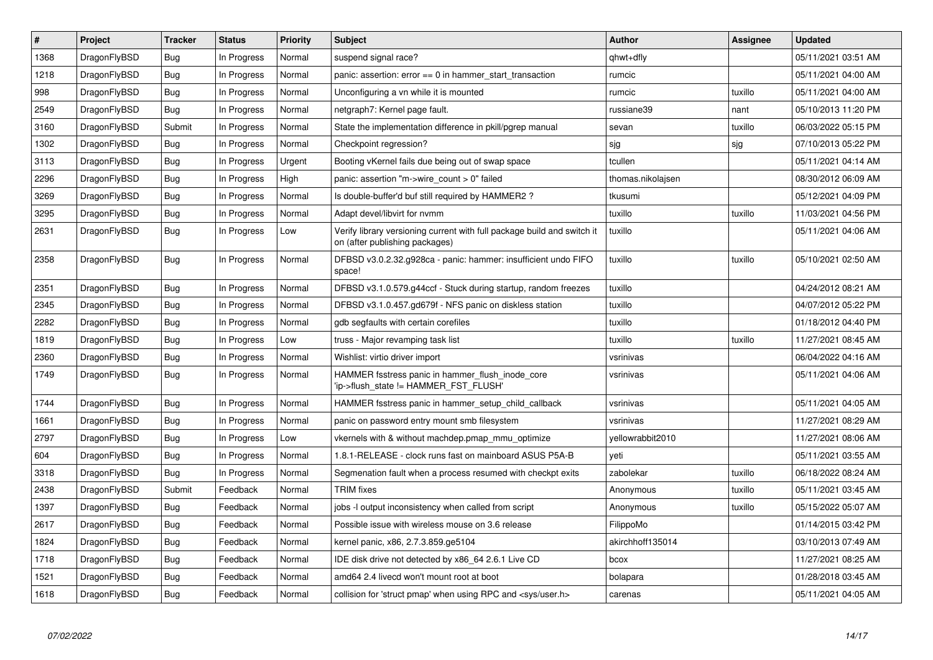| $\vert$ # | Project      | <b>Tracker</b> | <b>Status</b> | Priority | <b>Subject</b>                                                                                            | Author            | Assignee | <b>Updated</b>      |
|-----------|--------------|----------------|---------------|----------|-----------------------------------------------------------------------------------------------------------|-------------------|----------|---------------------|
| 1368      | DragonFlyBSD | <b>Bug</b>     | In Progress   | Normal   | suspend signal race?                                                                                      | qhwt+dfly         |          | 05/11/2021 03:51 AM |
| 1218      | DragonFlyBSD | <b>Bug</b>     | In Progress   | Normal   | panic: assertion: $error == 0$ in hammer start transaction                                                | rumcic            |          | 05/11/2021 04:00 AM |
| 998       | DragonFlyBSD | <b>Bug</b>     | In Progress   | Normal   | Unconfiguring a vn while it is mounted                                                                    | rumcic            | tuxillo  | 05/11/2021 04:00 AM |
| 2549      | DragonFlyBSD | Bug            | In Progress   | Normal   | netgraph7: Kernel page fault.                                                                             | russiane39        | nant     | 05/10/2013 11:20 PM |
| 3160      | DragonFlyBSD | Submit         | In Progress   | Normal   | State the implementation difference in pkill/pgrep manual                                                 | sevan             | tuxillo  | 06/03/2022 05:15 PM |
| 1302      | DragonFlyBSD | <b>Bug</b>     | In Progress   | Normal   | Checkpoint regression?                                                                                    | sjg               | sjg      | 07/10/2013 05:22 PM |
| 3113      | DragonFlyBSD | Bug            | In Progress   | Urgent   | Booting vKernel fails due being out of swap space                                                         | tcullen           |          | 05/11/2021 04:14 AM |
| 2296      | DragonFlyBSD | <b>Bug</b>     | In Progress   | High     | panic: assertion "m->wire_count > 0" failed                                                               | thomas.nikolajsen |          | 08/30/2012 06:09 AM |
| 3269      | DragonFlyBSD | Bug            | In Progress   | Normal   | Is double-buffer'd buf still required by HAMMER2?                                                         | tkusumi           |          | 05/12/2021 04:09 PM |
| 3295      | DragonFlyBSD | <b>Bug</b>     | In Progress   | Normal   | Adapt devel/libvirt for nvmm                                                                              | tuxillo           | tuxillo  | 11/03/2021 04:56 PM |
| 2631      | DragonFlyBSD | Bug            | In Progress   | Low      | Verify library versioning current with full package build and switch it<br>on (after publishing packages) | tuxillo           |          | 05/11/2021 04:06 AM |
| 2358      | DragonFlyBSD | Bug            | In Progress   | Normal   | DFBSD v3.0.2.32.g928ca - panic: hammer: insufficient undo FIFO<br>space!                                  | tuxillo           | tuxillo  | 05/10/2021 02:50 AM |
| 2351      | DragonFlyBSD | <b>Bug</b>     | In Progress   | Normal   | DFBSD v3.1.0.579.g44ccf - Stuck during startup, random freezes                                            | tuxillo           |          | 04/24/2012 08:21 AM |
| 2345      | DragonFlyBSD | <b>Bug</b>     | In Progress   | Normal   | DFBSD v3.1.0.457.gd679f - NFS panic on diskless station                                                   | tuxillo           |          | 04/07/2012 05:22 PM |
| 2282      | DragonFlyBSD | Bug            | In Progress   | Normal   | gdb segfaults with certain corefiles                                                                      | tuxillo           |          | 01/18/2012 04:40 PM |
| 1819      | DragonFlyBSD | <b>Bug</b>     | In Progress   | Low      | truss - Major revamping task list                                                                         | tuxillo           | tuxillo  | 11/27/2021 08:45 AM |
| 2360      | DragonFlyBSD | <b>Bug</b>     | In Progress   | Normal   | Wishlist: virtio driver import                                                                            | vsrinivas         |          | 06/04/2022 04:16 AM |
| 1749      | DragonFlyBSD | Bug            | In Progress   | Normal   | HAMMER fsstress panic in hammer flush inode core<br>'ip->flush_state != HAMMER_FST_FLUSH'                 | vsrinivas         |          | 05/11/2021 04:06 AM |
| 1744      | DragonFlyBSD | Bug            | In Progress   | Normal   | HAMMER fsstress panic in hammer setup child callback                                                      | vsrinivas         |          | 05/11/2021 04:05 AM |
| 1661      | DragonFlyBSD | <b>Bug</b>     | In Progress   | Normal   | panic on password entry mount smb filesystem                                                              | vsrinivas         |          | 11/27/2021 08:29 AM |
| 2797      | DragonFlyBSD | Bug            | In Progress   | Low      | vkernels with & without machdep.pmap_mmu_optimize                                                         | yellowrabbit2010  |          | 11/27/2021 08:06 AM |
| 604       | DragonFlyBSD | <b>Bug</b>     | In Progress   | Normal   | 1.8.1-RELEASE - clock runs fast on mainboard ASUS P5A-B                                                   | yeti              |          | 05/11/2021 03:55 AM |
| 3318      | DragonFlyBSD | <b>Bug</b>     | In Progress   | Normal   | Segmenation fault when a process resumed with checkpt exits                                               | zabolekar         | tuxillo  | 06/18/2022 08:24 AM |
| 2438      | DragonFlyBSD | Submit         | Feedback      | Normal   | <b>TRIM</b> fixes                                                                                         | Anonymous         | tuxillo  | 05/11/2021 03:45 AM |
| 1397      | DragonFlyBSD | <b>Bug</b>     | Feedback      | Normal   | jobs -I output inconsistency when called from script                                                      | Anonymous         | tuxillo  | 05/15/2022 05:07 AM |
| 2617      | DragonFlyBSD | <b>Bug</b>     | Feedback      | Normal   | Possible issue with wireless mouse on 3.6 release                                                         | FilippoMo         |          | 01/14/2015 03:42 PM |
| 1824      | DragonFlyBSD | <b>Bug</b>     | Feedback      | Normal   | kernel panic, x86, 2.7.3.859.ge5104                                                                       | akirchhoff135014  |          | 03/10/2013 07:49 AM |
| 1718      | DragonFlyBSD | Bug            | Feedback      | Normal   | IDE disk drive not detected by x86 64 2.6.1 Live CD                                                       | bcox              |          | 11/27/2021 08:25 AM |
| 1521      | DragonFlyBSD | <b>Bug</b>     | Feedback      | Normal   | amd64 2.4 livecd won't mount root at boot                                                                 | bolapara          |          | 01/28/2018 03:45 AM |
| 1618      | DragonFlyBSD | Bug            | Feedback      | Normal   | collision for 'struct pmap' when using RPC and <sys user.h=""></sys>                                      | carenas           |          | 05/11/2021 04:05 AM |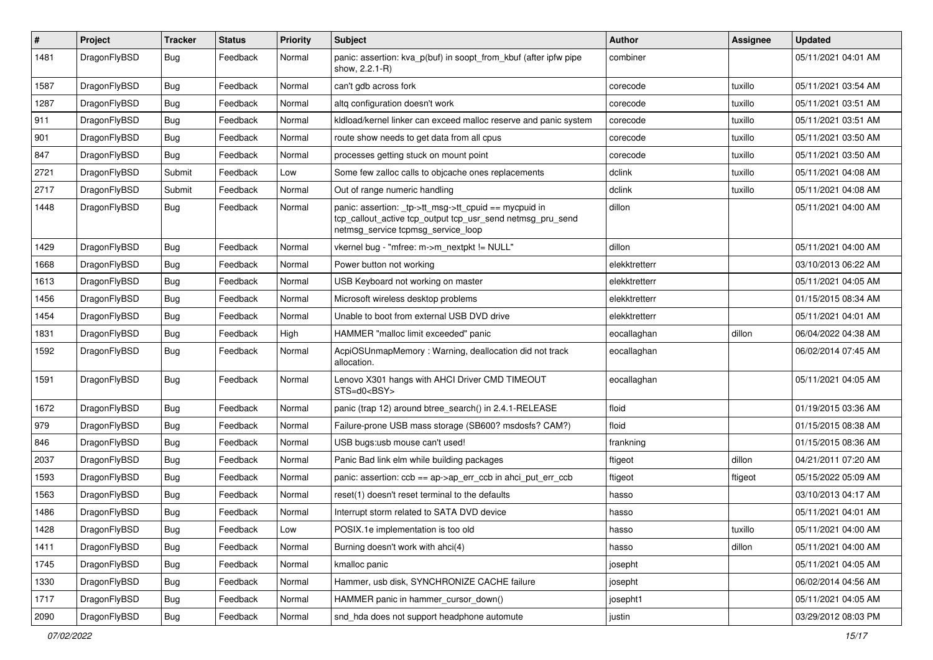| $\pmb{\#}$ | Project      | <b>Tracker</b> | <b>Status</b> | <b>Priority</b> | Subject                                                                                                                                                   | Author        | <b>Assignee</b> | <b>Updated</b>      |
|------------|--------------|----------------|---------------|-----------------|-----------------------------------------------------------------------------------------------------------------------------------------------------------|---------------|-----------------|---------------------|
| 1481       | DragonFlyBSD | Bug            | Feedback      | Normal          | panic: assertion: kva_p(buf) in soopt_from_kbuf (after ipfw pipe<br>show, 2.2.1-R)                                                                        | combiner      |                 | 05/11/2021 04:01 AM |
| 1587       | DragonFlyBSD | <b>Bug</b>     | Feedback      | Normal          | can't gdb across fork                                                                                                                                     | corecode      | tuxillo         | 05/11/2021 03:54 AM |
| 1287       | DragonFlyBSD | Bug            | Feedback      | Normal          | altg configuration doesn't work                                                                                                                           | corecode      | tuxillo         | 05/11/2021 03:51 AM |
| 911        | DragonFlyBSD | Bug            | Feedback      | Normal          | kldload/kernel linker can exceed malloc reserve and panic system                                                                                          | corecode      | tuxillo         | 05/11/2021 03:51 AM |
| 901        | DragonFlyBSD | Bug            | Feedback      | Normal          | route show needs to get data from all cpus                                                                                                                | corecode      | tuxillo         | 05/11/2021 03:50 AM |
| 847        | DragonFlyBSD | Bug            | Feedback      | Normal          | processes getting stuck on mount point                                                                                                                    | corecode      | tuxillo         | 05/11/2021 03:50 AM |
| 2721       | DragonFlyBSD | Submit         | Feedback      | Low             | Some few zalloc calls to objcache ones replacements                                                                                                       | dclink        | tuxillo         | 05/11/2021 04:08 AM |
| 2717       | DragonFlyBSD | Submit         | Feedback      | Normal          | Out of range numeric handling                                                                                                                             | dclink        | tuxillo         | 05/11/2021 04:08 AM |
| 1448       | DragonFlyBSD | Bug            | Feedback      | Normal          | panic: assertion: _tp->tt_msg->tt_cpuid == mycpuid in<br>tcp_callout_active tcp_output tcp_usr_send netmsg_pru_send<br>netmsg_service tcpmsg_service_loop | dillon        |                 | 05/11/2021 04:00 AM |
| 1429       | DragonFlyBSD | Bug            | Feedback      | Normal          | vkernel bug - "mfree: m->m_nextpkt != NULL"                                                                                                               | dillon        |                 | 05/11/2021 04:00 AM |
| 1668       | DragonFlyBSD | Bug            | Feedback      | Normal          | Power button not working                                                                                                                                  | elekktretterr |                 | 03/10/2013 06:22 AM |
| 1613       | DragonFlyBSD | Bug            | Feedback      | Normal          | USB Keyboard not working on master                                                                                                                        | elekktretterr |                 | 05/11/2021 04:05 AM |
| 1456       | DragonFlyBSD | Bug            | Feedback      | Normal          | Microsoft wireless desktop problems                                                                                                                       | elekktretterr |                 | 01/15/2015 08:34 AM |
| 1454       | DragonFlyBSD | Bug            | Feedback      | Normal          | Unable to boot from external USB DVD drive                                                                                                                | elekktretterr |                 | 05/11/2021 04:01 AM |
| 1831       | DragonFlyBSD | Bug            | Feedback      | High            | HAMMER "malloc limit exceeded" panic                                                                                                                      | eocallaghan   | dillon          | 06/04/2022 04:38 AM |
| 1592       | DragonFlyBSD | Bug            | Feedback      | Normal          | AcpiOSUnmapMemory: Warning, deallocation did not track<br>allocation.                                                                                     | eocallaghan   |                 | 06/02/2014 07:45 AM |
| 1591       | DragonFlyBSD | Bug            | Feedback      | Normal          | Lenovo X301 hangs with AHCI Driver CMD TIMEOUT<br>STS=d0 <bsy></bsy>                                                                                      | eocallaghan   |                 | 05/11/2021 04:05 AM |
| 1672       | DragonFlyBSD | Bug            | Feedback      | Normal          | panic (trap 12) around btree_search() in 2.4.1-RELEASE                                                                                                    | floid         |                 | 01/19/2015 03:36 AM |
| 979        | DragonFlyBSD | Bug            | Feedback      | Normal          | Failure-prone USB mass storage (SB600? msdosfs? CAM?)                                                                                                     | floid         |                 | 01/15/2015 08:38 AM |
| 846        | DragonFlyBSD | Bug            | Feedback      | Normal          | USB bugs:usb mouse can't used!                                                                                                                            | frankning     |                 | 01/15/2015 08:36 AM |
| 2037       | DragonFlyBSD | Bug            | Feedback      | Normal          | Panic Bad link elm while building packages                                                                                                                | ftigeot       | dillon          | 04/21/2011 07:20 AM |
| 1593       | DragonFlyBSD | Bug            | Feedback      | Normal          | panic: assertion: $ccb == ap > ap$ err $ccb$ in ahci put err $ccb$                                                                                        | ftigeot       | ftigeot         | 05/15/2022 05:09 AM |
| 1563       | DragonFlyBSD | Bug            | Feedback      | Normal          | reset(1) doesn't reset terminal to the defaults                                                                                                           | hasso         |                 | 03/10/2013 04:17 AM |
| 1486       | DragonFlyBSD | Bug            | Feedback      | Normal          | Interrupt storm related to SATA DVD device                                                                                                                | hasso         |                 | 05/11/2021 04:01 AM |
| 1428       | DragonFlyBSD | Bug            | Feedback      | Low             | POSIX.1e implementation is too old                                                                                                                        | hasso         | tuxillo         | 05/11/2021 04:00 AM |
| 1411       | DragonFlyBSD | Bug            | Feedback      | Normal          | Burning doesn't work with ahci(4)                                                                                                                         | hasso         | dillon          | 05/11/2021 04:00 AM |
| 1745       | DragonFlyBSD | <b>Bug</b>     | Feedback      | Normal          | kmalloc panic                                                                                                                                             | josepht       |                 | 05/11/2021 04:05 AM |
| 1330       | DragonFlyBSD | Bug            | Feedback      | Normal          | Hammer, usb disk, SYNCHRONIZE CACHE failure                                                                                                               | josepht       |                 | 06/02/2014 04:56 AM |
| 1717       | DragonFlyBSD | <b>Bug</b>     | Feedback      | Normal          | HAMMER panic in hammer_cursor_down()                                                                                                                      | josepht1      |                 | 05/11/2021 04:05 AM |
| 2090       | DragonFlyBSD | Bug            | Feedback      | Normal          | snd_hda does not support headphone automute                                                                                                               | justin        |                 | 03/29/2012 08:03 PM |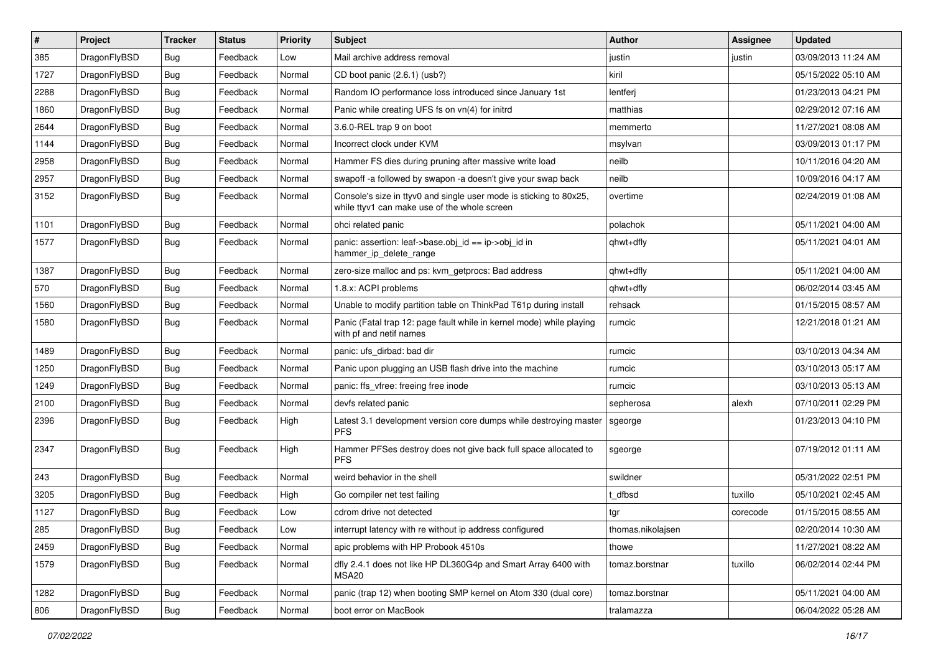| $\sharp$ | Project      | <b>Tracker</b> | <b>Status</b> | <b>Priority</b> | Subject                                                                                                            | <b>Author</b>     | Assignee | <b>Updated</b>      |
|----------|--------------|----------------|---------------|-----------------|--------------------------------------------------------------------------------------------------------------------|-------------------|----------|---------------------|
| 385      | DragonFlyBSD | <b>Bug</b>     | Feedback      | Low             | Mail archive address removal                                                                                       | justin            | justin   | 03/09/2013 11:24 AM |
| 1727     | DragonFlyBSD | Bug            | Feedback      | Normal          | CD boot panic (2.6.1) (usb?)                                                                                       | kiril             |          | 05/15/2022 05:10 AM |
| 2288     | DragonFlyBSD | <b>Bug</b>     | Feedback      | Normal          | Random IO performance loss introduced since January 1st                                                            | lentferj          |          | 01/23/2013 04:21 PM |
| 1860     | DragonFlyBSD | <b>Bug</b>     | Feedback      | Normal          | Panic while creating UFS fs on vn(4) for initrd                                                                    | matthias          |          | 02/29/2012 07:16 AM |
| 2644     | DragonFlyBSD | Bug            | Feedback      | Normal          | 3.6.0-REL trap 9 on boot                                                                                           | memmerto          |          | 11/27/2021 08:08 AM |
| 1144     | DragonFlyBSD | <b>Bug</b>     | Feedback      | Normal          | Incorrect clock under KVM                                                                                          | msylvan           |          | 03/09/2013 01:17 PM |
| 2958     | DragonFlyBSD | <b>Bug</b>     | Feedback      | Normal          | Hammer FS dies during pruning after massive write load                                                             | neilb             |          | 10/11/2016 04:20 AM |
| 2957     | DragonFlyBSD | <b>Bug</b>     | Feedback      | Normal          | swapoff -a followed by swapon -a doesn't give your swap back                                                       | neilb             |          | 10/09/2016 04:17 AM |
| 3152     | DragonFlyBSD | <b>Bug</b>     | Feedback      | Normal          | Console's size in ttyv0 and single user mode is sticking to 80x25,<br>while ttyv1 can make use of the whole screen | overtime          |          | 02/24/2019 01:08 AM |
| 1101     | DragonFlyBSD | Bug            | Feedback      | Normal          | ohci related panic                                                                                                 | polachok          |          | 05/11/2021 04:00 AM |
| 1577     | DragonFlyBSD | <b>Bug</b>     | Feedback      | Normal          | panic: assertion: leaf->base.obj_id == ip->obj_id in<br>hammer_ip_delete_range                                     | qhwt+dfly         |          | 05/11/2021 04:01 AM |
| 1387     | DragonFlyBSD | Bug            | Feedback      | Normal          | zero-size malloc and ps: kvm_getprocs: Bad address                                                                 | qhwt+dfly         |          | 05/11/2021 04:00 AM |
| 570      | DragonFlyBSD | <b>Bug</b>     | Feedback      | Normal          | 1.8.x: ACPI problems                                                                                               | qhwt+dfly         |          | 06/02/2014 03:45 AM |
| 1560     | DragonFlyBSD | <b>Bug</b>     | Feedback      | Normal          | Unable to modify partition table on ThinkPad T61p during install                                                   | rehsack           |          | 01/15/2015 08:57 AM |
| 1580     | DragonFlyBSD | <b>Bug</b>     | Feedback      | Normal          | Panic (Fatal trap 12: page fault while in kernel mode) while playing<br>with pf and netif names                    | rumcic            |          | 12/21/2018 01:21 AM |
| 1489     | DragonFlyBSD | Bug            | Feedback      | Normal          | panic: ufs dirbad: bad dir                                                                                         | rumcic            |          | 03/10/2013 04:34 AM |
| 1250     | DragonFlyBSD | <b>Bug</b>     | Feedback      | Normal          | Panic upon plugging an USB flash drive into the machine                                                            | rumcic            |          | 03/10/2013 05:17 AM |
| 1249     | DragonFlyBSD | <b>Bug</b>     | Feedback      | Normal          | panic: ffs vfree: freeing free inode                                                                               | rumcic            |          | 03/10/2013 05:13 AM |
| 2100     | DragonFlyBSD | <b>Bug</b>     | Feedback      | Normal          | devfs related panic                                                                                                | sepherosa         | alexh    | 07/10/2011 02:29 PM |
| 2396     | DragonFlyBSD | Bug            | Feedback      | High            | Latest 3.1 development version core dumps while destroying master<br><b>PFS</b>                                    | sgeorge           |          | 01/23/2013 04:10 PM |
| 2347     | DragonFlyBSD | Bug            | Feedback      | High            | Hammer PFSes destroy does not give back full space allocated to<br><b>PFS</b>                                      | sgeorge           |          | 07/19/2012 01:11 AM |
| 243      | DragonFlyBSD | <b>Bug</b>     | Feedback      | Normal          | weird behavior in the shell                                                                                        | swildner          |          | 05/31/2022 02:51 PM |
| 3205     | DragonFlyBSD | <b>Bug</b>     | Feedback      | High            | Go compiler net test failing                                                                                       | t dfbsd           | tuxillo  | 05/10/2021 02:45 AM |
| 1127     | DragonFlyBSD | <b>Bug</b>     | Feedback      | Low             | cdrom drive not detected                                                                                           | tgr               | corecode | 01/15/2015 08:55 AM |
| 285      | DragonFlyBSD | <b>Bug</b>     | Feedback      | Low             | interrupt latency with re without ip address configured                                                            | thomas.nikolajsen |          | 02/20/2014 10:30 AM |
| 2459     | DragonFlyBSD | <b>Bug</b>     | Feedback      | Normal          | apic problems with HP Probook 4510s                                                                                | thowe             |          | 11/27/2021 08:22 AM |
| 1579     | DragonFlyBSD | <b>Bug</b>     | Feedback      | Normal          | dfly 2.4.1 does not like HP DL360G4p and Smart Array 6400 with<br>MSA <sub>20</sub>                                | tomaz.borstnar    | tuxillo  | 06/02/2014 02:44 PM |
| 1282     | DragonFlyBSD | <b>Bug</b>     | Feedback      | Normal          | panic (trap 12) when booting SMP kernel on Atom 330 (dual core)                                                    | tomaz.borstnar    |          | 05/11/2021 04:00 AM |
| 806      | DragonFlyBSD | <b>Bug</b>     | Feedback      | Normal          | boot error on MacBook                                                                                              | tralamazza        |          | 06/04/2022 05:28 AM |